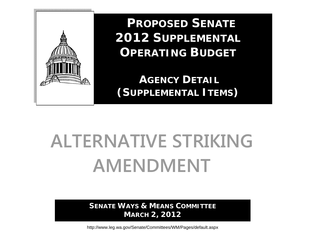

**PROPOSED SENATE 2012 SUPPLEMENTAL OPERATING BUDGET**

**AGENCY DETAIL(SUPPLEMENTAL ITEMS)** 

# **ALTERNATIVE STRIKING AMENDMENT**

**SENATE WAYS & MEANS COMMITTEE MARCH 2, 2012** 

http://www.leg.wa.gov/Senate/Committees/WM/Pages/default.aspx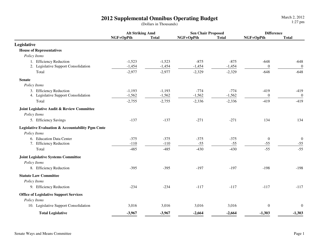|                                                  | <b>Alt Striking Amd</b> |              | <b>Sen Chair Proposed</b> |              | <b>Difference</b> |                  |
|--------------------------------------------------|-------------------------|--------------|---------------------------|--------------|-------------------|------------------|
|                                                  | NGF+OpPth               | <b>Total</b> | NGF+OpPth                 | <b>Total</b> | NGF+OpPth         | <b>Total</b>     |
| Legislative                                      |                         |              |                           |              |                   |                  |
| <b>House of Representatives</b>                  |                         |              |                           |              |                   |                  |
| Policy Items                                     |                         |              |                           |              |                   |                  |
| 1. Efficiency Reduction                          | $-1,523$                | $-1,523$     | $-875$                    | $-875$       | $-648$            | $-648$           |
| 2. Legislative Support Consolidation             | $-1,454$                | $-1,454$     | $-1,454$                  | $-1,454$     | $\boldsymbol{0}$  | $\boldsymbol{0}$ |
| Total                                            | $-2,977$                | $-2,977$     | $-2,329$                  | $-2,329$     | $-648$            | $-648$           |
| <b>Senate</b>                                    |                         |              |                           |              |                   |                  |
| Policy Items                                     |                         |              |                           |              |                   |                  |
| 3. Efficiency Reduction                          | $-1,193$                | $-1,193$     | $-774$                    | $-774$       | $-419$            | $-419$           |
| 4. Legislative Support Consolidation             | $-1,562$                | $-1,562$     | $-1,562$                  | $-1,562$     | $\boldsymbol{0}$  | $\boldsymbol{0}$ |
| Total                                            | $-2,755$                | $-2,755$     | $-2,336$                  | $-2,336$     | $-419$            | $-419$           |
| Joint Legislative Audit & Review Committee       |                         |              |                           |              |                   |                  |
| Policy Items                                     |                         |              |                           |              |                   |                  |
| 5. Efficiency Savings                            | $-137$                  | $-137$       | $-271$                    | $-271$       | 134               | 134              |
| Legislative Evaluation & Accountability Pgm Cmte |                         |              |                           |              |                   |                  |
| Policy Items                                     |                         |              |                           |              |                   |                  |
| 6. Education Data Center                         | $-375$                  | $-375$       | $-375$                    | $-375$       | $\mathbf{0}$      | $\boldsymbol{0}$ |
| 7. Efficiency Reduction                          | $-110$                  | $-110$       | $-55$                     | $-55$        | $-55$             | $-55$            |
| Total                                            | $-485$                  | $-485$       | $-430$                    | $-430$       | $-55$             | $-55$            |
| <b>Joint Legislative Systems Committee</b>       |                         |              |                           |              |                   |                  |
| Policy Items                                     |                         |              |                           |              |                   |                  |
| 8. Efficiency Reduction                          | $-395$                  | $-395$       | $-197$                    | $-197$       | $-198$            | $-198$           |
| <b>Statute Law Committee</b>                     |                         |              |                           |              |                   |                  |
| Policy Items                                     |                         |              |                           |              |                   |                  |
| 9. Efficiency Reduction                          | $-234$                  | $-234$       | $-117$                    | $-117$       | $-117$            | $-117$           |
| <b>Office of Legislative Support Services</b>    |                         |              |                           |              |                   |                  |
| Policy Items                                     |                         |              |                           |              |                   |                  |
| 10. Legislative Support Consolidation            | 3,016                   | 3,016        | 3,016                     | 3,016        | $\boldsymbol{0}$  | $\boldsymbol{0}$ |
| <b>Total Legislative</b>                         | $-3,967$                | $-3,967$     | $-2,664$                  | $-2,664$     | $-1,303$          | $-1,303$         |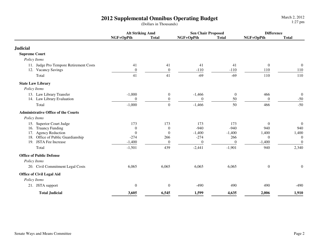|                                                               | <b>Alt Striking Amd</b>    |                                      | <b>Sen Chair Proposed</b> |                        | <b>Difference</b>       |                           |
|---------------------------------------------------------------|----------------------------|--------------------------------------|---------------------------|------------------------|-------------------------|---------------------------|
|                                                               | NGF+OpPth                  | <b>Total</b>                         | NGF+OpPth                 | <b>Total</b>           | NGF+OpPth               | <b>Total</b>              |
| <b>Judicial</b>                                               |                            |                                      |                           |                        |                         |                           |
| <b>Supreme Court</b>                                          |                            |                                      |                           |                        |                         |                           |
| Policy Items                                                  |                            |                                      |                           |                        |                         |                           |
| 11. Judge Pro Tempore Retirement Costs<br>12. Vacancy Savings | 41<br>$\theta$             | 41<br>$\boldsymbol{0}$               | 41<br>$-110$              | 41<br>$-110$           | $\boldsymbol{0}$<br>110 | $\boldsymbol{0}$<br>110   |
| Total                                                         | 41                         | 41                                   | $-69$                     | $-69$                  | 110                     | 110                       |
| <b>State Law Library</b>                                      |                            |                                      |                           |                        |                         |                           |
| Policy Items                                                  |                            |                                      |                           |                        |                         |                           |
| 13. Law Library Transfer<br>14. Law Library Evaluation        | $-1,000$<br>$\overline{0}$ | $\boldsymbol{0}$<br>$\boldsymbol{0}$ | $-1,466$<br>$\theta$      | $\boldsymbol{0}$<br>50 | 466<br>$\overline{0}$   | $\boldsymbol{0}$<br>$-50$ |
| Total                                                         | $-1,000$                   | $\boldsymbol{0}$                     | $-1,466$                  | 50                     | 466                     | $-50$                     |
| <b>Administrative Office of the Courts</b>                    |                            |                                      |                           |                        |                         |                           |
| Policy Items                                                  |                            |                                      |                           |                        |                         |                           |
| 15. Superior Court Judge                                      | 173                        | 173                                  | 173                       | 173                    | $\overline{0}$          | $\boldsymbol{0}$          |
| 16. Truancy Funding                                           | $\theta$                   | $\theta$                             | $-940$                    | $-940$                 | 940                     | 940                       |
| 17. Agency Reduction                                          | $\boldsymbol{0}$           | $\boldsymbol{0}$                     | $-1,400$                  | $-1,400$               | 1,400                   | 1,400                     |
| 18. Office of Public Guardianship                             | $-274$                     | 266                                  | $-274$                    | 266                    | $\overline{0}$          | $\boldsymbol{0}$          |
| 19. JSTA Fee Increase                                         | $-1,400$                   | $\boldsymbol{0}$                     | $\mathbf{0}$              | $\boldsymbol{0}$       | $-1,400$                | $\boldsymbol{0}$          |
| Total                                                         | $-1,501$                   | 439                                  | $-2,441$                  | $-1,901$               | 940                     | 2,340                     |
| <b>Office of Public Defense</b>                               |                            |                                      |                           |                        |                         |                           |
| Policy Items                                                  |                            |                                      |                           |                        |                         |                           |
| 20. Civil Commitment Legal Costs                              | 6,065                      | 6,065                                | 6,065                     | 6,065                  | $\boldsymbol{0}$        | $\boldsymbol{0}$          |
| <b>Office of Civil Legal Aid</b>                              |                            |                                      |                           |                        |                         |                           |
| Policy Items                                                  |                            |                                      |                           |                        |                         |                           |
| 21. JSTA support                                              | $\boldsymbol{0}$           | $\boldsymbol{0}$                     | $-490$                    | 490                    | 490                     | $-490$                    |
| <b>Total Judicial</b>                                         | 3,605                      | 6,545                                | 1,599                     | 4,635                  | 2,006                   | 1,910                     |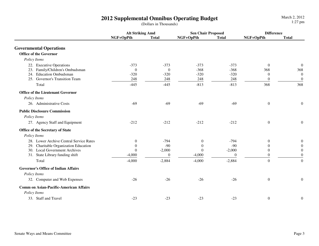|                                               | <b>Alt Striking Amd</b> |                | <b>Sen Chair Proposed</b> |              | <b>Difference</b> |                  |
|-----------------------------------------------|-------------------------|----------------|---------------------------|--------------|-------------------|------------------|
|                                               | NGF+OpPth               | <b>Total</b>   | NGF+OpPth                 | <b>Total</b> | NGF+OpPth         | <b>Total</b>     |
| <b>Governmental Operations</b>                |                         |                |                           |              |                   |                  |
| <b>Office of the Governor</b>                 |                         |                |                           |              |                   |                  |
| Policy Items                                  |                         |                |                           |              |                   |                  |
| 22. Executive Operations                      | $-373$                  | $-373$         | $-373$                    | $-373$       | $\overline{0}$    | $\overline{0}$   |
| 23. Family/Children's Ombudsman               | $\theta$                | $\mathbf{0}$   | $-368$                    | $-368$       | 368               | 368              |
| 24. Education Ombudsman                       | $-320$                  | $-320$         | $-320$                    | $-320$       | $\theta$          | $\boldsymbol{0}$ |
| 25. Governor's Transition Team                | 248                     | 248            | 248                       | 248          | $\theta$          | $\boldsymbol{0}$ |
| Total                                         | $-445$                  | $-445$         | $-813$                    | $-813$       | 368               | 368              |
| <b>Office of the Lieutenant Governor</b>      |                         |                |                           |              |                   |                  |
| Policy Items                                  |                         |                |                           |              |                   |                  |
| 26. Administrative Costs                      | $-69$                   | $-69$          | $-69$                     | $-69$        | $\boldsymbol{0}$  | $\boldsymbol{0}$ |
| <b>Public Disclosure Commission</b>           |                         |                |                           |              |                   |                  |
| Policy Items                                  |                         |                |                           |              |                   |                  |
| 27. Agency Staff and Equipment                | $-212$                  | $-212$         | $-212$                    | $-212$       | $\boldsymbol{0}$  | $\boldsymbol{0}$ |
| Office of the Secretary of State              |                         |                |                           |              |                   |                  |
| Policy Items                                  |                         |                |                           |              |                   |                  |
| 28. Lower Archive Central Service Rates       | $\boldsymbol{0}$        | $-794$         | $\overline{0}$            | $-794$       | $\mathbf{0}$      | $\boldsymbol{0}$ |
| 29. Charitable Organization Education         | $\boldsymbol{0}$        | $-90$          | $\boldsymbol{0}$          | $-90$        | $\boldsymbol{0}$  | $\boldsymbol{0}$ |
| 30. Local Government Archives                 | $\theta$                | $-2,000$       | $\Omega$                  | $-2,000$     | $\mathbf{0}$      | $\boldsymbol{0}$ |
| 31. State Library funding shift               | $-4,000$                | $\overline{0}$ | $-4,000$                  | $\theta$     | $\boldsymbol{0}$  | $\theta$         |
| Total                                         | $-4,000$                | $-2,884$       | $-4,000$                  | $-2,884$     | $\overline{0}$    | $\overline{0}$   |
| <b>Governor's Office of Indian Affairs</b>    |                         |                |                           |              |                   |                  |
| Policy Items                                  |                         |                |                           |              |                   |                  |
| 32. Computer and Web Expenses                 | $-26$                   | $-26$          | $-26$                     | $-26$        | $\boldsymbol{0}$  | $\boldsymbol{0}$ |
| <b>Comm on Asian-Pacific-American Affairs</b> |                         |                |                           |              |                   |                  |
| Policy Items                                  |                         |                |                           |              |                   |                  |
| 33. Staff and Travel                          | $-23$                   | $-23$          | $-23$                     | $-23$        | $\boldsymbol{0}$  | $\boldsymbol{0}$ |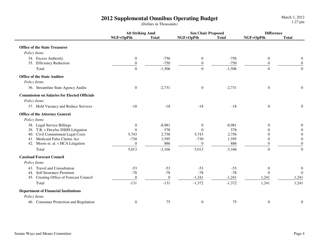|                                                     | <b>Alt Striking Amd</b> |                | <b>Sen Chair Proposed</b> |              | <b>Difference</b> |                  |
|-----------------------------------------------------|-------------------------|----------------|---------------------------|--------------|-------------------|------------------|
|                                                     | NGF+OpPth               | <b>Total</b>   | NGF+OpPth                 | <b>Total</b> | NGF+OpPth         | <b>Total</b>     |
| <b>Office of the State Treasurer</b>                |                         |                |                           |              |                   |                  |
| Policy Items                                        |                         |                |                           |              |                   |                  |
| 34. Excess Authority                                | $\boldsymbol{0}$        | $-756$         | $\boldsymbol{0}$          | $-756$       | $\boldsymbol{0}$  | $\boldsymbol{0}$ |
| 35. Efficiency Reduction                            | $\boldsymbol{0}$        | $-750$         | $\boldsymbol{0}$          | $-750$       | $\boldsymbol{0}$  | $\boldsymbol{0}$ |
| Total                                               | $\overline{0}$          | $-1,506$       | $\overline{0}$            | $-1,506$     | $\overline{0}$    | $\mathbf{0}$     |
| <b>Office of the State Auditor</b>                  |                         |                |                           |              |                   |                  |
| Policy Items                                        |                         |                |                           |              |                   |                  |
| 36. Streamline State Agency Audits                  | $\boldsymbol{0}$        | $-2,731$       | $\boldsymbol{0}$          | $-2,731$     | $\boldsymbol{0}$  | $\boldsymbol{0}$ |
| <b>Commission on Salaries for Elected Officials</b> |                         |                |                           |              |                   |                  |
| Policy Items                                        |                         |                |                           |              |                   |                  |
| 37. Hold Vacancy and Reduce Services                | $-18$                   | $-18$          | $-18$                     | $-18$        | $\boldsymbol{0}$  | $\mathbf{0}$     |
| <b>Office of the Attorney General</b>               |                         |                |                           |              |                   |                  |
| Policy Items                                        |                         |                |                           |              |                   |                  |
| 38. Legal Service Billings                          | $\boldsymbol{0}$        | $-8,981$       | $\boldsymbol{0}$          | $-8,981$     | $\theta$          | $\mathbf{0}$     |
| 39. T.R. v Dreyfus DSHS Litigation                  | $\Omega$                | 578            | $\Omega$                  | 578          | $\Omega$          | $\theta$         |
| 40. Civil Commitment Legal Costs                    | 5,743                   | 2,756          | 5,743                     | 2,756        | $\Omega$          | $\boldsymbol{0}$ |
| 41. Medicaid False Claims Act                       | $-730$                  | 1,595          | $-730$                    | 1,595        | $\theta$          | $\boldsymbol{0}$ |
| 42. Moore et. al. v HCA Litigation                  | $\mathbf{0}$            | 886            | $\mathbf{0}$              | 886          | $\boldsymbol{0}$  | $\boldsymbol{0}$ |
| Total                                               | 5,013                   | $-3,166$       | 5,013                     | $-3,166$     | $\theta$          | $\overline{0}$   |
| <b>Caseload Forecast Council</b>                    |                         |                |                           |              |                   |                  |
| Policy Items                                        |                         |                |                           |              |                   |                  |
| 43. Travel and Consultation                         | $-53$                   | $-53$          | $-53$                     | $-53$        | $\boldsymbol{0}$  | $\overline{0}$   |
| 44. Self Insurance Premium                          | $-78$                   | $-78$          | $-78$                     | $-78$        | $\Omega$          | $\theta$         |
| 45. Creating Office of Forecast Council             | $\overline{0}$          | $\overline{0}$ | $-1,241$                  | $-1,241$     | 1,241             | 1,241            |
| Total                                               | $-131$                  | $-131$         | $-1,372$                  | $-1,372$     | 1,241             | 1,241            |
| <b>Department of Financial Institutions</b>         |                         |                |                           |              |                   |                  |
| Policy Items                                        |                         |                |                           |              |                   |                  |
| 46. Consumer Protection and Regulation              | $\boldsymbol{0}$        | 75             | $\boldsymbol{0}$          | 75           | $\boldsymbol{0}$  | $\boldsymbol{0}$ |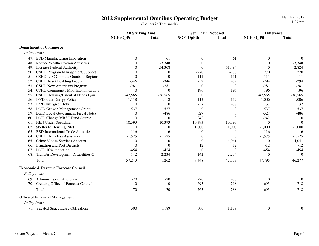**Alt Striking Amd Sen Chair Proposed DifferenceNGF+OpPth Total NGF+OpPth Total NGF+OpPth Total Department of Commerce** *Policy Items*47. BSD Manufacturing Innovation 0 -61 0 -61 0 0 $-3.348$ 48. Reduce Weatherization Activities 0 -3,348 0 0 0 -3,3482,824 49. Increase Federal Authority 0 54,308 0 51,484 0 2,824 0 2,824 0 2,824 0 2,824 0 2,824 0 2,824 0 2,824 0 2,824 0 2,824 0 2,824 0 2,824 0 2,824 0 2,824 0 2,824 0 2,824 0 2,824 0 2,824 0 2,824 0 2,824 0 2,824 0 2,824 0 2,8 270 50. CSHD Program Management/Support 0 0 0 -270 -270 -270 270 270 270 270 271 271 271 271 271 271 271 271 271 2 111 51. CSHD LTC Ombuds Grants to Regions 0 0 -111 -111 11  $-294$ 52. CSHD Asset Building Program -346 -346 -346 -52 -52 -294 -52  $-281$ 53. CSHD New Americans Program  $-281$  -281 0 0 -281 196 54. CSHD Community Mobilization Grants  $\begin{array}{ccc} 0 & 0 & -196 \\ 196 & 196 \end{array}$  $-36.565$ 55. CSHD Housing/Essential Needs Pgm  $-42,565$   $-36,565$  0 0 0 0  $-112$   $-42,565$   $-36,565$ <br> $-112$   $-1.006$   $-1.006$ 56. IPPD State Energy Policy **-1,118** -1,118 -112 37 57. IPPD Evergreen Jobss  $0 \t 0 \t 37 \t 37 \t 37 \t 37 \t 37$  $-537$ 58. LGID Growth Management Grants -537 -537 -537 0 0 0 -537  $-486$ 59. LGID Local Government Fiscal Notes 0 -486 327 0 -327  $\Omega$ 60. LGID Change MRSC Fund Source  $0$  0  $242$  0  $-242$  $\overline{0}$ 61. HEN Under Spending  $-10,393$   $-10,393$   $-10,393$   $-10,393$   $-10,393$   $-10,393$  $-1.000$ 62. Shelter to Housing Pilot **0** 0 0 1,000 1,000 -1,000 1,000 -1,000 -116 63. BSD International Trade Activities  $-116$   $-116$   $0$  0  $0$   $-116$ 64. CSHD Homeless Assistance  $-1,575$  -1,575 0 0 0 -1,575 -1,575 -1,575  $-4.041$ 65. Crime Victim Services Account 0 0 0 0 4,041 0 0  $-12$ 66. Irrigation and Port Districts 0 0 12 12 -12  $-454$ 67. LGID  $10\%$  reduction  $-454$   $-454$   $0$  0  $-454$  $\theta$ 68. Transfer Development Disabilities C  $142$  2,234  $142$  2,234 2,234 0 0 Total $\frac{1}{2}$  1,262  $\frac{1}{262}$   $\frac{1}{262}$   $\frac{47,539}{47,539}$   $\frac{47,795}{46,277}$   $\frac{46,277}{46,277}$  **Economic & Revenue Forecast Council** *Policy Items*69. Administrative Efficiency **69.** Administrative Efficiency **69.** Administrative Efficiency **69.** The contract of the contract of the contract of the contract of the contract of the contract of the contract of the contra  $\frac{3}{2}$  718 70. Creating Office of Forecast Council Total $\frac{1}{21}$  -70 -70 -763 -788 -788 -788 -718  **Office of Financial Management** *Policy Items*71. Vacated Space Lease Obligations 300 1,189 300 1,189 300 1,189 300 1,189 0  $0 \qquad \qquad 0$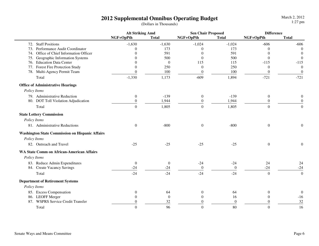|                                                        | <b>Alt Striking Amd</b> |                | <b>Sen Chair Proposed</b> |                | <b>Difference</b> |                  |
|--------------------------------------------------------|-------------------------|----------------|---------------------------|----------------|-------------------|------------------|
|                                                        | NGF+OpPth               | <b>Total</b>   | NGF+OpPth                 | <b>Total</b>   | NGF+OpPth         | <b>Total</b>     |
| 72. Staff Positions                                    | $-1,630$                | $-1,630$       | $-1,024$                  | $-1,024$       | $-606$            | $-606$           |
| 73. Performance Audit Coordinator                      | $\Omega$                | 173            | $\Omega$                  | 173            | 0                 | $\Omega$         |
| 74. Office of Chief Information Officer                | 0                       | 591            | $\theta$                  | 591            | $\Omega$          | $\theta$         |
| 75. Geographic Information Systems                     | 0                       | 500            | $\theta$                  | 500            | $\Omega$          | $\theta$         |
| 76. Education Data Center                              | $\Omega$                | $\overline{0}$ | 115                       | 115            | $-115$            | $-115$           |
| 77. Forest Fire Protection Study                       | $\Omega$                | 250            | $\theta$                  | 250            | $\Omega$          | $\Omega$         |
| 78. Multi-Agency Permit Team                           | $\theta$                | 100            | $\boldsymbol{0}$          | 100            | $\theta$          | $\boldsymbol{0}$ |
| Total                                                  | $-1,330$                | 1,173          | $-609$                    | 1,894          | $-721$            | $-721$           |
| <b>Office of Administrative Hearings</b>               |                         |                |                           |                |                   |                  |
| Policy Items                                           |                         |                |                           |                |                   |                  |
| 79. Administrative Reduction                           | $\boldsymbol{0}$        | $-139$         | $\boldsymbol{0}$          | $-139$         | $\mathbf{0}$      | 0                |
| 80. DOT Toll Violation Adjudication                    | $\overline{0}$          | 1,944          | $\theta$                  | 1,944          | $\theta$          | $\theta$         |
| Total                                                  | $\overline{0}$          | 1,805          | $\boldsymbol{0}$          | 1,805          | $\overline{0}$    | $\overline{0}$   |
| <b>State Lottery Commission</b>                        |                         |                |                           |                |                   |                  |
| Policy Items                                           |                         |                |                           |                |                   |                  |
| 81. Administrative Reductions                          | $\boldsymbol{0}$        | $-800$         | $\boldsymbol{0}$          | $-800$         | $\mathbf{0}$      | $\boldsymbol{0}$ |
| <b>Washington State Commission on Hispanic Affairs</b> |                         |                |                           |                |                   |                  |
| Policy Items                                           |                         |                |                           |                |                   |                  |
| 82. Outreach and Travel                                | $-25$                   | $-25$          | $-25$                     | $-25$          | $\boldsymbol{0}$  | $\boldsymbol{0}$ |
| <b>WA State Comm on African-American Affairs</b>       |                         |                |                           |                |                   |                  |
| Policy Items                                           |                         |                |                           |                |                   |                  |
| 83. Reduce Admin Expenditures                          | $\boldsymbol{0}$        | $\overline{0}$ | $-24$                     | $-24$          | 24                | 24               |
| 84. Create Vacancy Savings                             | $-24$                   | $-24$          | $\boldsymbol{0}$          | $\mathbf{0}$   | $-24$             | $-24$            |
| Total                                                  | $-24$                   | $-24$          | $-24$                     | $-24$          | $\theta$          | $\overline{0}$   |
| <b>Department of Retirement Systems</b>                |                         |                |                           |                |                   |                  |
| Policy Items                                           |                         |                |                           |                |                   |                  |
| 85. Excess Compensation                                | $\theta$                | 64             | $\boldsymbol{0}$          | 64             | $\theta$          | $\mathbf{0}$     |
| 86. LEOFF Merger                                       | $\Omega$                | $\overline{0}$ | $\theta$                  | 16             | $\mathbf{0}$      | $-16$            |
| 87. WSPRS Service Credit Transfer                      | $\theta$                | 32             | $\Omega$                  | $\overline{0}$ | $\Omega$          | 32               |
| Total                                                  | $\overline{0}$          | 96             | $\boldsymbol{0}$          | 80             | $\boldsymbol{0}$  | 16               |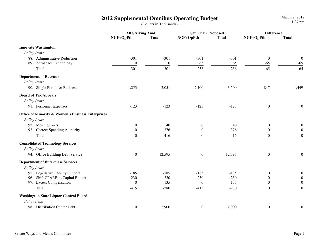|                                                              | <b>Alt Striking Amd</b> |                  | <b>Sen Chair Proposed</b> |              | <b>Difference</b> |                  |
|--------------------------------------------------------------|-------------------------|------------------|---------------------------|--------------|-------------------|------------------|
|                                                              | NGF+OpPth               | <b>Total</b>     | NGF+OpPth                 | <b>Total</b> | NGF+OpPth         | <b>Total</b>     |
| <b>Innovate Washington</b>                                   |                         |                  |                           |              |                   |                  |
| Policy Items                                                 |                         |                  |                           |              |                   |                  |
| 88. Administrative Reduction                                 | $-301$                  | $-301$           | $-301$                    | $-301$       | $\boldsymbol{0}$  | $\boldsymbol{0}$ |
| 89. Aerospace Technology                                     | $\boldsymbol{0}$        | $\boldsymbol{0}$ | 65                        | 65           | $-65$             | $-65$            |
| Total                                                        | $-301$                  | $-301$           | $-236$                    | $-236$       | $-65$             | $-65$            |
| <b>Department of Revenue</b>                                 |                         |                  |                           |              |                   |                  |
| Policy Items                                                 |                         |                  |                           |              |                   |                  |
| 90. Single Portal for Business                               | 1,253                   | 2,051            | 2,100                     | 3,500        | $-847$            | $-1,449$         |
| <b>Board of Tax Appeals</b>                                  |                         |                  |                           |              |                   |                  |
| Policy Items                                                 |                         |                  |                           |              |                   |                  |
| 91. Personnel Expenses                                       | $-123$                  | $-123$           | $-123$                    | $-123$       | $\boldsymbol{0}$  | $\boldsymbol{0}$ |
| <b>Office of Minority &amp; Women's Business Enterprises</b> |                         |                  |                           |              |                   |                  |
| Policy Items                                                 |                         |                  |                           |              |                   |                  |
| 92. Moving Costs                                             | $\boldsymbol{0}$        | 40               | $\boldsymbol{0}$          | 40           | $\boldsymbol{0}$  | $\boldsymbol{0}$ |
| 93. Correct Spending Authority                               | $\boldsymbol{0}$        | 376              | $\boldsymbol{0}$          | 376          | $\overline{0}$    | $\boldsymbol{0}$ |
| Total                                                        | $\boldsymbol{0}$        | 416              | $\boldsymbol{0}$          | 416          | $\boldsymbol{0}$  | $\boldsymbol{0}$ |
| <b>Consolidated Technology Services</b>                      |                         |                  |                           |              |                   |                  |
| Policy Items                                                 |                         |                  |                           |              |                   |                  |
| 94. Office Building Debt Service                             | $\boldsymbol{0}$        | 12,595           | $\boldsymbol{0}$          | 12,595       | $\boldsymbol{0}$  | $\boldsymbol{0}$ |
| <b>Department of Enterprise Services</b>                     |                         |                  |                           |              |                   |                  |
| Policy Items                                                 |                         |                  |                           |              |                   |                  |
| 95. Legislative Facility Support                             | $-185$                  | $-185$           | $-185$                    | $-185$       | $\boldsymbol{0}$  | $\mathbf{0}$     |
| 96. Shift CPARB to Capital Budget                            | $-230$                  | $-230$           | $-230$                    | $-230$       | $\boldsymbol{0}$  | $\boldsymbol{0}$ |
| 97. Excess Compensation                                      | $\boldsymbol{0}$        | 135              | $\boldsymbol{0}$          | 135          | $\Omega$          | $\boldsymbol{0}$ |
| Total                                                        | $-415$                  | $-280$           | $-415$                    | $-280$       | $\overline{0}$    | $\overline{0}$   |
| <b>Washington State Liquor Control Board</b>                 |                         |                  |                           |              |                   |                  |
| Policy Items                                                 |                         |                  |                           |              |                   |                  |
| 98. Distribution Center Debt                                 | $\boldsymbol{0}$        | 2,900            | $\boldsymbol{0}$          | 2,900        | $\boldsymbol{0}$  | $\boldsymbol{0}$ |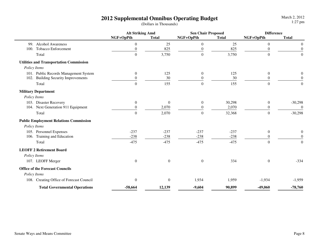|                                                | <b>Alt Striking Amd</b> |                  | <b>Sen Chair Proposed</b> |              | <b>Difference</b> |                  |
|------------------------------------------------|-------------------------|------------------|---------------------------|--------------|-------------------|------------------|
|                                                | NGF+OpPth               | <b>Total</b>     | NGF+OpPth                 | <b>Total</b> | NGF+OpPth         | <b>Total</b>     |
| 99. Alcohol Awareness                          | $\theta$                | 25               | $\boldsymbol{0}$          | 25           | $\mathbf{0}$      | 0                |
| 100. Tobacco Enforcement                       | $\boldsymbol{0}$        | 825              | $\boldsymbol{0}$          | 825          | $\boldsymbol{0}$  | $\boldsymbol{0}$ |
| Total                                          | $\boldsymbol{0}$        | 3,750            | $\boldsymbol{0}$          | 3,750        | $\overline{0}$    | $\boldsymbol{0}$ |
| <b>Utilities and Transportation Commission</b> |                         |                  |                           |              |                   |                  |
| Policy Items                                   |                         |                  |                           |              |                   |                  |
| 101. Public Records Management System          | $\mathbf{0}$            | 125              | $\boldsymbol{0}$          | 125          | $\mathbf{0}$      | $\theta$         |
| 102. Building Security Improvements            | $\theta$                | 30               | $\boldsymbol{0}$          | 30           | $\theta$          | $\boldsymbol{0}$ |
| Total                                          | $\overline{0}$          | 155              | $\overline{0}$            | 155          | $\overline{0}$    | $\overline{0}$   |
| <b>Military Department</b>                     |                         |                  |                           |              |                   |                  |
| Policy Items                                   |                         |                  |                           |              |                   |                  |
| 103. Disaster Recovery                         | $\mathbf{0}$            | $\overline{0}$   | $\mathbf{0}$              | 30,298       | $\mathbf{0}$      | $-30,298$        |
| 104. Next Generation 911 Equipment             | $\Omega$                | 2,070            | $\overline{0}$            | 2,070        | $\theta$          | $\mathbf{0}$     |
| Total                                          | $\Omega$                | 2,070            | $\overline{0}$            | 32,368       | $\Omega$          | $-30,298$        |
| <b>Public Employment Relations Commission</b>  |                         |                  |                           |              |                   |                  |
| Policy Items                                   |                         |                  |                           |              |                   |                  |
| 105. Personnel Expenses                        | $-237$                  | $-237$           | $-237$                    | $-237$       | $\mathbf{0}$      | $\boldsymbol{0}$ |
| 106. Training and Education                    | $-238$                  | $-238$           | $-238$                    | $-238$       | $\theta$          | $\boldsymbol{0}$ |
| Total                                          | $-475$                  | $-475$           | $-475$                    | $-475$       | $\Omega$          | $\Omega$         |
| <b>LEOFF 2 Retirement Board</b>                |                         |                  |                           |              |                   |                  |
| Policy Items                                   |                         |                  |                           |              |                   |                  |
| 107. LEOFF Merger                              | $\boldsymbol{0}$        | $\boldsymbol{0}$ | $\boldsymbol{0}$          | 334          | $\boldsymbol{0}$  | $-334$           |
| <b>Office of the Forecast Councils</b>         |                         |                  |                           |              |                   |                  |
| Policy Items                                   |                         |                  |                           |              |                   |                  |
| 108. Creating Office of Forecast Council       | $\boldsymbol{0}$        | $\boldsymbol{0}$ | 1,934                     | 1,959        | $-1,934$          | $-1,959$         |
| <b>Total Governmental Operations</b>           | $-58,664$               | 12,139           | $-9,604$                  | 90,899       | $-49,060$         | $-78,760$        |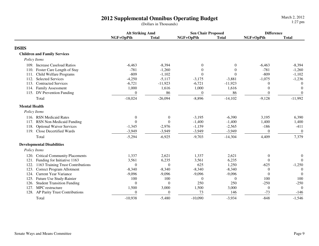|                                           | <b>Alt Striking Amd</b> |                  | <b>Sen Chair Proposed</b> |              | <b>Difference</b> |                |
|-------------------------------------------|-------------------------|------------------|---------------------------|--------------|-------------------|----------------|
|                                           | NGF+OpPth               | <b>Total</b>     | NGF+OpPth                 | <b>Total</b> | NGF+OpPth         | <b>Total</b>   |
| <b>DSHS</b>                               |                         |                  |                           |              |                   |                |
| <b>Children and Family Services</b>       |                         |                  |                           |              |                   |                |
| Policy Items                              |                         |                  |                           |              |                   |                |
| 109. Increase Caseload Ratios             | $-6,463$                | $-8,394$         | $\boldsymbol{0}$          | $\theta$     | $-6,463$          | $-8,394$       |
| 110. Foster Care Length of Stay           | $-781$                  | $-1,260$         | $\overline{0}$            | $\theta$     | $-781$            | $-1,260$       |
| 111. Child Welfare Programs               | $-809$                  | $-1,102$         | $\theta$                  | $\Omega$     | $-809$            | $-1,102$       |
| <b>Selected Services</b><br>112.          | $-4,250$                | $-5,117$         | $-3,175$                  | $-3,881$     | $-1,075$          | $-1,236$       |
| 113. Contracted Services                  | $-6,721$                | $-11,923$        | $-6,721$                  | $-11,923$    | $\theta$          | $\overline{0}$ |
| 114. Family Assessment                    | 1,000                   | 1,616            | 1,000                     | 1,616        | $\overline{0}$    | $\theta$       |
| 115. DV Prevention Funding                | $\theta$                | 86               | $\overline{0}$            | 86           | $\theta$          | $\theta$       |
| Total                                     | $-18,024$               | $-26,094$        | $-8,896$                  | $-14,102$    | $-9,128$          | $-11,992$      |
| <b>Mental Health</b>                      |                         |                  |                           |              |                   |                |
| Policy Items                              |                         |                  |                           |              |                   |                |
| 116. RSN Medicaid Rates                   | $\theta$                | $\boldsymbol{0}$ | $-3,195$                  | $-6,390$     | 3,195             | 6,390          |
| 117. RSN Non-Medicaid Funding             | $\theta$                | $\overline{0}$   | $-1,400$                  | $-1,400$     | 1,400             | 1,400          |
| <b>Optional Waiver Services</b><br>118.   | $-1,345$                | $-2,976$         | $-1,159$                  | $-2,565$     | $-186$            | $-411$         |
| 119. Close Decertified Wards              | $-3,949$                | $-3,949$         | $-3,949$                  | $-3,949$     | $\boldsymbol{0}$  | $\theta$       |
| Total                                     | $-5,294$                | $-6,925$         | $-9,703$                  | $-14,304$    | 4,409             | 7,379          |
| <b>Developmental Disabilities</b>         |                         |                  |                           |              |                   |                |
| Policy Items                              |                         |                  |                           |              |                   |                |
| 120. Critical Community Placements        | 1,337                   | 2,621            | 1,337                     | 2,621        | $\boldsymbol{0}$  | $\mathbf{0}$   |
| Funding for Initiative 1163<br>121.       | 3,561                   | 6,235            | 3,561                     | 6,235        | $\theta$          | $\Omega$       |
| 1163 Training Trust Contributions<br>122. | $\overline{0}$          | $\mathbf{0}$     | 625                       | 1,250        | $-625$            | $-1,250$       |
| 123.<br>Correct Program Allotment         | $-8,340$                | $-8,340$         | $-8,340$                  | $-8,340$     | $\boldsymbol{0}$  | $\Omega$       |
| <b>Current Year Variance</b><br>124.      | $-9,096$                | $-9,096$         | $-9,096$                  | $-9,096$     | $\theta$          | $\Omega$       |
| 125.<br>Future Use Study-Rainier          | 100                     | 100              | $\overline{0}$            | $\theta$     | 100               | 100            |
| <b>Student Transition Funding</b><br>126. | $\theta$                | $\overline{0}$   | 250                       | 250          | $-250$            | $-250$         |
| MPC restructure<br>127.                   | 1,500                   | 3,000            | 1,500                     | 3,000        | $\overline{0}$    | $\Omega$       |
| 128. AP Parity Trust Contributions        | $\theta$                | $\theta$         | 73                        | 146          | $-73$             | $-146$         |
| Total                                     | $-10,938$               | $-5,480$         | $-10,090$                 | $-3,934$     | $-848$            | $-1,546$       |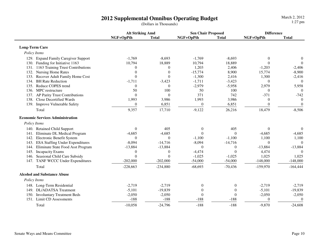|                                    |                                         | <b>Alt Striking Amd</b> |                | <b>Sen Chair Proposed</b> |                  | <b>Difference</b> |                  |
|------------------------------------|-----------------------------------------|-------------------------|----------------|---------------------------|------------------|-------------------|------------------|
|                                    |                                         | NGF+OpPth               | <b>Total</b>   | NGF+OpPth                 | <b>Total</b>     | NGF+OpPth         | <b>Total</b>     |
| <b>Long-Term Care</b>              |                                         |                         |                |                           |                  |                   |                  |
| Policy Items                       |                                         |                         |                |                           |                  |                   |                  |
|                                    | 129. Expand Family Caregiver Support    | $-1,769$                | $-8,693$       | $-1,769$                  | $-8,693$         | $\theta$          | $\boldsymbol{0}$ |
|                                    | 130. Funding for Initiative 1163        | 10,794                  | 18,889         | 10,794                    | 18,889           | $\Omega$          | $\Omega$         |
|                                    | 131. 1163 Training Trust Contributions  | $\theta$                | $\Omega$       | 1,203                     | 2,406            | $-1,203$          | $-2,406$         |
|                                    | 132. Nursing Home Rates                 | $\theta$                | $\theta$       | $-15,774$                 | 8,900            | 15,774            | $-8,900$         |
|                                    | 133. Recover Adult Family Home Cost     | $\Omega$                | $\Omega$       | $-1,300$                  | 2,416            | 1,300             | $-2,416$         |
| 134. BH Rate Reduction             |                                         | $-1,711$                | $-3,423$       | $-1,711$                  | $-3,423$         | $\theta$          | $\Omega$         |
| 135.                               | Reduce COPES trend                      | $\theta$                | $\Omega$       | $-2,979$                  | $-5,958$         | 2,979             | 5,958            |
| 136. MPC restructure               |                                         | 50                      | 100            | 50                        | 100              | $\theta$          | $\Omega$         |
|                                    | 137. AP Parity Trust Contributions      | $\Omega$                | $\Omega$       | 371                       | 742              | $-371$            | $-742$           |
|                                    | 138. Close Decertified Wards            | 1,993                   | 3,986          | 1,993                     | 3,986            | $\Omega$          | $\Omega$         |
|                                    | 139. Improve Vulnerable Safety          | $\overline{0}$          | 6,851          | $\boldsymbol{0}$          | 6,851            | $\theta$          | $\mathbf{0}$     |
| Total                              |                                         | 9,357                   | 17,710         | $-9,122$                  | 26,216           | 18,479            | $-8,506$         |
|                                    | <b>Economic Services Administration</b> |                         |                |                           |                  |                   |                  |
| Policy Items                       |                                         |                         |                |                           |                  |                   |                  |
|                                    | 140. Retained Child Support             | $\theta$                | 405            | $\boldsymbol{0}$          | 405              | $\theta$          | $\boldsymbol{0}$ |
| 141.                               | Eliminate DL Medical Program            | $-4,685$                | $-4,685$       | $\mathbf{0}$              | $\Omega$         | $-4,685$          | $-4,685$         |
|                                    | 142. Electronic Benefit System          | $\Omega$                | $\Omega$       | $-1,100$                  | $-1,100$         | 1,100             | 1,100            |
|                                    | 143. ESA Staffing Under Expenditures    | $-8,094$                | $-14,716$      | $-8,094$                  | $-14,716$        | $\theta$          | $\theta$         |
|                                    | 144. Eliminate State Food Asst Program  | $-13,884$               | $-13,884$      | $\theta$                  | $\mathbf{0}$     | $-13,884$         | $-13,884$        |
| 145.                               | <b>Incapacity Exams</b>                 | $\boldsymbol{0}$        | $\overline{0}$ | $-4,474$                  | $\Omega$         | 4,474             | $\Omega$         |
|                                    | 146. Seasional Child Care Subsidy       | $\Omega$                | $\Omega$       | $-1,025$                  | $-1,025$         | 1,025             | 1,025            |
|                                    | 147. TANF WCCC Under Expenditures       | $-202,000$              | $-202,000$     | $-54,000$                 | $-54,000$        | $-148,000$        | $-148,000$       |
| Total                              |                                         | $-228,663$              | $-234,880$     | $-68,693$                 | $-70,436$        | $-159,970$        | $-164,444$       |
| <b>Alcohol and Substance Abuse</b> |                                         |                         |                |                           |                  |                   |                  |
| Policy Items                       |                                         |                         |                |                           |                  |                   |                  |
|                                    | 148. Long-Term Residential              | $-2,719$                | $-2,719$       | $\boldsymbol{0}$          | $\boldsymbol{0}$ | $-2,719$          | $-2,719$         |
|                                    | 149. DL/ADATSA Treatment                | $-5,101$                | $-19,839$      | $\boldsymbol{0}$          | $\mathbf{0}$     | $-5,101$          | $-19,839$        |
|                                    | 150. Involuntary Treatment Beds         | $-2,050$                | $-2,050$       | $\mathbf{0}$              | $\Omega$         | $-2,050$          | $-2,050$         |
|                                    | 151. Limit CD Assessments               | $-188$                  | $-188$         | $-188$                    | $-188$           | $\theta$          | $\theta$         |
| Total                              |                                         | $-10,058$               | $-24,796$      | $-188$                    | $-188$           | $-9,870$          | $-24,608$        |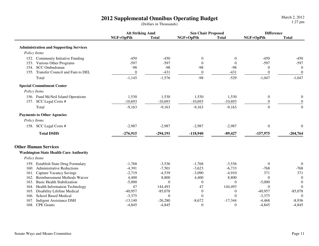|                                               | <b>Alt Striking Amd</b> |              | <b>Sen Chair Proposed</b> |              | <b>Difference</b> |                  |
|-----------------------------------------------|-------------------------|--------------|---------------------------|--------------|-------------------|------------------|
|                                               | NGF+OpPth               | <b>Total</b> | NGF+OpPth                 | <b>Total</b> | NGF+OpPth         | <b>Total</b>     |
| <b>Administration and Supporting Services</b> |                         |              |                           |              |                   |                  |
| Policy Items                                  |                         |              |                           |              |                   |                  |
| 152. Community Initiative Funding             | $-450$                  | $-450$       | $\mathbf{0}$              | $\Omega$     | $-450$            | $-450$           |
| 153. Various Other Programs                   | $-597$                  | $-597$       | $\Omega$                  | $\Omega$     | $-597$            | $-597$           |
| <b>SCC</b> Ombudsman<br>154.                  | $-98$                   | $-98$        | $-98$                     | $-98$        | $\mathbf{0}$      | $\overline{0}$   |
| 155. Transfer Council and Fam to DEL          | $\boldsymbol{0}$        | $-431$       | $\boldsymbol{0}$          | $-431$       | $\theta$          | $\boldsymbol{0}$ |
| Total                                         | $-1,145$                | $-1,576$     | $-98$                     | $-529$       | $-1,047$          | $-1,047$         |
| <b>Special Commitment Center</b>              |                         |              |                           |              |                   |                  |
| Policy Items                                  |                         |              |                           |              |                   |                  |
| 156. Fund McNeil Island Operations            | 1,530                   | 1,530        | 1,530                     | 1,530        | $\boldsymbol{0}$  | $\boldsymbol{0}$ |
| 157. SCC Legal Costs #                        | $-10,693$               | $-10,693$    | $-10,693$                 | $-10,693$    | $\boldsymbol{0}$  | $\overline{0}$   |
| Total                                         | $-9,163$                | $-9,163$     | $-9,163$                  | $-9,163$     | $\overline{0}$    | $\boldsymbol{0}$ |
| <b>Payments to Other Agencies</b>             |                         |              |                           |              |                   |                  |
| Policy Items                                  |                         |              |                           |              |                   |                  |
| 158. SCC Legal Costs #                        | $-2,987$                | $-2,987$     | $-2,987$                  | $-2,987$     | $\boldsymbol{0}$  | $\theta$         |
| <b>Total DSHS</b>                             | $-276,915$              | $-294,191$   | $-118,940$                | $-89,427$    | $-157,975$        | $-204,764$       |
| <b>Other Human Services</b>                   |                         |              |                           |              |                   |                  |
| <b>Washington State Health Care Authority</b> |                         |              |                           |              |                   |                  |
| Policy Items                                  |                         |              |                           |              |                   |                  |
| 159. Establish State Drug Formulary           | $-1,768$                | $-3,536$     | $-1,768$                  | $-3,536$     | $\mathbf{0}$      | $\boldsymbol{0}$ |
| 160. Administrative Reductions                | $-4,391$                | $-7,501$     | $-3,623$                  | $-6,733$     | $-768$            | $-768$           |
| <b>Capture Vacancy Savings</b><br>161.        | $-2,719$                | $-4,539$     | $-3,090$                  | $-4,910$     | 371               | 371              |
| Reimbursement Methods Waiver<br>162.          | 4,400                   | 8,800        | 4,400                     | 8,800        | $\theta$          | $\theta$         |
| <b>Basic Health Stabilization</b><br>163.     | $-5,000$                | $\theta$     | $\mathbf{0}$              | $\theta$     | $-5,000$          | $\theta$         |
| 164. Health Information Technology            | 47                      | 144,493      | 47                        | 144,493      | $\theta$          | $\mathbf{0}$     |
| Disability Lifeline Medical<br>165.           | $-40,957$               | $-85,078$    | $\mathbf{0}$              | $\theta$     | $-40,957$         | $-85,078$        |
| <b>School Based Medical</b><br>166.           | $-3,375$                | $\theta$     | $\theta$                  | $\theta$     | $-3,375$          | $\theta$         |
| 167.<br><b>Indigent Assistance DSH</b>        | $-13,140$               | $-26,280$    | $-8,672$                  | $-17,344$    | $-4,468$          | $-8,936$         |
| 168. CPE Grants                               | $-4,845$                | $-4,845$     | $\mathbf{0}$              | $\theta$     | $-4,845$          | $-4,845$         |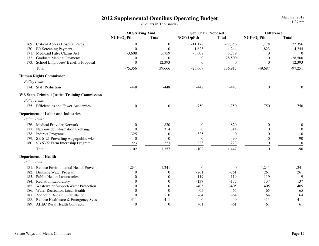|                                                      | <b>Alt Striking Amd</b> |                  | <b>Sen Chair Proposed</b> |                  | <b>Difference</b> |                  |
|------------------------------------------------------|-------------------------|------------------|---------------------------|------------------|-------------------|------------------|
|                                                      | NGF+OpPth               | <b>Total</b>     | NGF+OpPth                 | <b>Total</b>     | NGF+OpPth         | <b>Total</b>     |
| 169. Critical Access Hospital Rates                  | $\overline{0}$          | $\boldsymbol{0}$ | $-11,178$                 | $-22,356$        | 11,178            | 22,356           |
| <b>ER Screening Payment</b><br>170.                  | $\theta$                | $\Omega$         | 1,823                     | 4,244            | $-1,823$          | $-4,244$         |
| Medicaid False Claims Act<br>171.                    | $-3,608$                | 5,759            | $-3,608$                  | 5,759            | $\theta$          | $\theta$         |
| <b>Graduate Medical Payments</b><br>172.             | $\boldsymbol{0}$        | $\Omega$         | $\mathbf{0}$              | 28,500           | $\mathbf{0}$      | $-28,500$        |
| School Employees' Benefits Proposal<br>173.          | $\mathbf{0}$            | 12,393           | $\boldsymbol{0}$          | $\boldsymbol{0}$ | $\theta$          | 12,393           |
| Total                                                | $-75,356$               | 39,666           | $-25,669$                 | 136,917          | $-49,687$         | $-97,251$        |
| <b>Human Rights Commission</b>                       |                         |                  |                           |                  |                   |                  |
| Policy Items                                         |                         |                  |                           |                  |                   |                  |
| 174. Staff Reduction                                 | $-448$                  | $-448$           | $-448$                    | $-448$           | $\boldsymbol{0}$  | $\boldsymbol{0}$ |
| <b>WA State Criminal Justice Training Commission</b> |                         |                  |                           |                  |                   |                  |
| Policy Items                                         |                         |                  |                           |                  |                   |                  |
| 175. Efficiencies and Fewer Academies                | $\boldsymbol{0}$        | $\theta$         | $-750$                    | $-750$           | 750               | 750              |
| <b>Department of Labor and Industries</b>            |                         |                  |                           |                  |                   |                  |
| Policy Items                                         |                         |                  |                           |                  |                   |                  |
| 176. Medical Provider Network                        | $\boldsymbol{0}$        | 820              | $\boldsymbol{0}$          | 820              | $\mathbf{0}$      | 0                |
| 177. Nationwide Information Exchange                 | $\theta$                | 314              | $\Omega$                  | 314              | $\Omega$          | $\theta$         |
| 178. Indirect Programs                               | $-325$                  | $\theta$         | $-325$                    | $\theta$         | $\theta$          | $\theta$         |
| 179. SB 6421 Prevailing wage/public wks              | $\mathbf{0}$            | $\Omega$         | $\theta$                  | 90               | $\theta$          | $-90$            |
| 180. SB 6392 Farm Internship Program                 | 223                     | 223              | 223                       | 223              | $\mathbf{0}$      | $\boldsymbol{0}$ |
| Total                                                | $-102$                  | 1,357            | $-102$                    | 1,447            | $\overline{0}$    | $-90$            |
| <b>Department of Health</b>                          |                         |                  |                           |                  |                   |                  |
| Policy Items                                         |                         |                  |                           |                  |                   |                  |
| 181. Reduce Environmental Health Prevent             | $-1,241$                | $-1,241$         | $\mathbf{0}$              | $\mathbf{0}$     | $-1,241$          | $-1,241$         |
| 182.<br>Drinking Water Program                       | $\Omega$                | $\Omega$         | $-261$                    | $-261$           | 261               | 261              |
| 183. Public Health Laboratories                      | $\Omega$                | $\Omega$         | $-119$                    | $-119$           | 119               | 119              |
| 184. Radiation Laboratory                            | $\Omega$                | $\Omega$         | $-137$                    | $-137$           | 137               | 137              |
| 185. Wastewater Support/Water Protection             | $\Omega$                | $\theta$         | $-405$                    | $-405$           | 405               | 405              |
| Water Recreation Local Health<br>186.                | $\theta$                | $\overline{0}$   | $-65$                     | $-65$            | 65                | 65               |
| Zoonotic Disease Surveillance<br>187.                | $\theta$                | $\mathbf{0}$     | $-64$                     | $-64$            | 64                | 64               |
| Reduce Healthcare & Emergency Svcs<br>188.           | $-411$                  | $-411$           | $\theta$                  | $\theta$         | $-411$            | $-411$           |
| 189. AHEC Rural Health Contracts                     | $\overline{0}$          | $\theta$         | $-61$                     | $-61$            | 61                | 61               |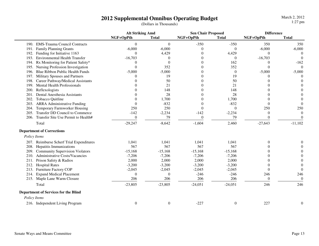March 2, 20121:27 pm

|              |                                             | <b>Alt Striking Amd</b> |              | <b>Sen Chair Proposed</b> |                  | <b>Difference</b> |                  |
|--------------|---------------------------------------------|-------------------------|--------------|---------------------------|------------------|-------------------|------------------|
|              |                                             | NGF+OpPth               | <b>Total</b> | NGF+OpPth                 | <b>Total</b>     | NGF+OpPth         | <b>Total</b>     |
|              | 190. EMS-Trauma Council Contracts           | $\theta$                | $\Omega$     | $-350$                    | $-350$           | 350               | 350              |
| 191.         | <b>Family Planning Grants</b>               | $-6,000$                | $-6,000$     | $\Omega$                  | $\mathbf{0}$     | $-6,000$          | $-6,000$         |
| 192.         | Funding for Initiative 1163                 | $\theta$                | 4,429        |                           | 4,429            | $\theta$          | $\Omega$         |
| 193.         | <b>Environmental Health Transfer</b>        | $-16,703$               | $\theta$     | $\Omega$                  | $\theta$         | $-16,703$         | $\Omega$         |
| 194.         | Rx Monitoring for Patient Safety*           | 0                       | $\Omega$     | $\Omega$                  | 162              | $\overline{0}$    | $-162$           |
| 195.         | Nursing Profession Investigation            | $\theta$                | 352          |                           | 352              | $\Omega$          | $\Omega$         |
| 196.         | Blue Ribbon Public Health Funds             | $-5,000$                | $-5,000$     | Ω                         | $\theta$         | $-5,000$          | $-5,000$         |
| 197.         | Military Spouses and Partners               | $\Omega$                | 19           |                           | 19               | $\theta$          | 0                |
| 198.         | Career Pathway/Medical Assistants           | 0                       | 50           |                           | 50               | 0                 | $\Omega$         |
| 199.         | <b>Mental Health Professionals</b>          | 0                       | 21           |                           | 21               |                   | $\Omega$         |
| 200.         | Reflexologists                              |                         | 148          |                           | 148              |                   | $\Omega$         |
| 201.         | Dental Anesthesia Assistants                |                         | 28           |                           | 28               |                   |                  |
| 202.         | Tobacco Quitline                            |                         | 1,700        |                           | 1,700            |                   | $\Omega$         |
| 203.         | <b>ARRA Administrative Funding</b>          | $\Omega$                | $-832$       |                           | $-832$           | $\theta$          | $\Omega$         |
| 204.         | Temporary Farmworker Housing                | 250                     | 250          | $\Omega$                  | $\Omega$         | 250               | 250              |
| 205.         | Transfer DD Council to Commerce             | $-142$                  | $-2,234$     | $-142$                    | $-2,234$         | $\Omega$          | $\Omega$         |
|              | 206. Transfer Site Use Permit to Health#    | $\theta$                | 79           | $\theta$                  | 79               | $\theta$          | $\Omega$         |
|              | Total                                       | $-29,247$               | $-8,642$     | $-1,604$                  | 2,460            | $-27,643$         | $-11,102$        |
|              | <b>Department of Corrections</b>            |                         |              |                           |                  |                   |                  |
| Policy Items |                                             |                         |              |                           |                  |                   |                  |
|              | 207. Reimburse Scherf Trial Expenditures    | 1,041                   | 1,041        | 1,041                     | 1,041            | 0                 | 0                |
|              | 208. Hepatitis Immunizations                | 567                     | 567          | 567                       | 567              | 0                 |                  |
| 209.         | <b>Community Supervision Violators</b>      | $-15,168$               | $-15,168$    | $-15,168$                 | $-15,168$        |                   |                  |
| 210.         | <b>Administrative Costs/Vacancies</b>       | $-7,206$                | $-7,206$     | $-7,206$                  | $-7,206$         |                   | $\Omega$         |
| 211.         | Prison Safety & Radios                      | 2,000                   | 2,000        | 2,000                     | 2,000            |                   | $\Omega$         |
| 212.         | <b>Hospital Rates</b>                       | $-3,200$                | $-3,200$     | $-3,200$                  | $-3,200$         | 0                 | $\theta$         |
| 213.         | <b>Furniture Factory COP</b>                | $-2,045$                | $-2,045$     | $-2,045$                  | $-2,045$         | $\Omega$          | $\theta$         |
| 214.         | <b>Expand Medical Placement</b>             | $\theta$                | $\Omega$     | $-246$                    | $-246$           | 246               | 246              |
|              | 215. Maple Lane Warm Closure                | 206                     | 206          | 206                       | 206              | $\Omega$          | $\theta$         |
|              | Total                                       | $-23,805$               | $-23,805$    | $-24,051$                 | $-24,051$        | 246               | 246              |
|              | <b>Department of Services for the Blind</b> |                         |              |                           |                  |                   |                  |
| Policy Items |                                             |                         |              |                           |                  |                   |                  |
|              | 216. Independent Living Program             | $\boldsymbol{0}$        | $\mathbf{0}$ | $-227$                    | $\boldsymbol{0}$ | 227               | $\boldsymbol{0}$ |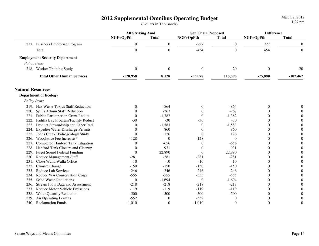|                                                 | <b>Alt Striking Amd</b> |                  | <b>Sen Chair Proposed</b> |                  | <b>Difference</b> |                  |
|-------------------------------------------------|-------------------------|------------------|---------------------------|------------------|-------------------|------------------|
|                                                 | NGF+OpPth               | <b>Total</b>     | NGF+OpPth                 | <b>Total</b>     | NGF+OpPth         | <b>Total</b>     |
| 217. Business Enterprise Program                | $\mathbf{0}$            | $\boldsymbol{0}$ | $-227$                    | $\boldsymbol{0}$ | 227               | $\overline{0}$   |
| Total                                           | $\boldsymbol{0}$        | $\overline{0}$   | $-454$                    | $\Omega$         | 454               | $\overline{0}$   |
| <b>Employment Security Department</b>           |                         |                  |                           |                  |                   |                  |
| Policy Items                                    |                         |                  |                           |                  |                   |                  |
| 218. Worker Training Study                      | $\theta$                | $\Omega$         | $\theta$                  | 20               | $\mathbf{0}$      | $-20$            |
| <b>Total Other Human Services</b>               | $-128,958$              | 8,128            | $-53,078$                 | 115,595          | $-75,880$         | $-107,467$       |
| <b>Natural Resources</b>                        |                         |                  |                           |                  |                   |                  |
| <b>Department of Ecology</b>                    |                         |                  |                           |                  |                   |                  |
| Policy Items                                    |                         |                  |                           |                  |                   |                  |
| 219. Haz Waste Toxics Staff Reduction           | $\theta$                | $-864$           | $\theta$                  | $-864$           | $\theta$          | $\theta$         |
| Spills Admin Staff Reduction<br>220.            |                         | $-267$           | $\theta$                  | $-267$           | 0                 | $\overline{0}$   |
| 221. Public Participation Grant Reduct          | $\overline{0}$          | $-1,382$         | $\theta$                  | $-1,382$         | 0                 | $\mathbf{0}$     |
| 222.<br>Padilla Bay Program/Facility Reduct     | $-30$                   | $-30$            | $-30$                     | $-30$            | 0                 | $\mathbf{0}$     |
| Product Stewardship and Other Red<br>223.       | $\overline{0}$          | $-1,583$         | $\theta$                  | $-1,583$         | 0                 | $\boldsymbol{0}$ |
| <b>Expedite Water Discharge Permits</b><br>224. | 0                       | 860              | $\Omega$                  | 860              | 0                 | $\boldsymbol{0}$ |
| Johns Creek Hydrogeology Study<br>225.          | $\theta$                | 126              | $\theta$                  | 126              | $\Omega$          | $\boldsymbol{0}$ |
| 226. Woodstove Fee Increase *                   | $-128$                  | $\theta$         | $-128$                    | $\theta$         | $\Omega$          | $\mathbf{0}$     |
| 227.<br>Completed Hanford Tank Litigation       | $\Omega$                | $-656$           | $\theta$                  | $-656$           | $\Omega$          | $\boldsymbol{0}$ |
| 228.<br>Hanford Tank Closure and Cleanup        | $\Omega$                | 931              | $\theta$                  | 931              | $\Omega$          | $\mathbf{0}$     |
| 229.<br><b>Puget Sound Federal Funding</b>      | $\theta$                | 22,890           | $\theta$                  | 22,890           | $\Omega$          | $\overline{0}$   |
| 230.<br><b>Reduce Management Staff</b>          | $-281$                  | $-281$           | $-281$                    | $-281$           | $\Omega$          | $\Omega$         |
| Close Walla Walla Office<br>231.                | $-10$                   | $-10$            | $-10$                     | $-10$            | $\Omega$          | $\overline{0}$   |
| 232.<br>Climate Change                          | $-150$                  | $-150$           | $-150$                    | $-150$           | $\Omega$          | $\overline{0}$   |
| 233.<br><b>Reduce Lab Services</b>              | $-246$                  | $-246$           | $-246$                    | $-246$           | $\Omega$          | $\overline{0}$   |
| Reduce WA Conservation Corps<br>234.            | $-555$                  | $-555$           | $-555$                    | $-555$           | $\Omega$          | $\mathbf{0}$     |
| Solid Waste Reductions<br>235.                  | $\overline{0}$          | $-1,694$         | $\boldsymbol{0}$          | $-1,694$         | $\theta$          | $\boldsymbol{0}$ |
| <b>Stream Flow Data and Assessment</b><br>236.  | $-218$                  | $-218$           | $-218$                    | $-218$           | $\theta$          | $\boldsymbol{0}$ |
| 237.<br><b>Reduce Motor Vehicle Emissions</b>   | $-119$                  | $-119$           | $-119$                    | $-119$           | $\theta$          | $\boldsymbol{0}$ |
| 238.<br><b>Water Quantity Reduction</b>         | $-500$                  | $-500$           | $-500$                    | $-500$           | $\theta$          | $\boldsymbol{0}$ |
| 239.<br>Air Operating Permits                   | $-552$                  | $\Omega$         | $-552$                    | $\Omega$         | $\Omega$          | $\boldsymbol{0}$ |
| 240. Reclamation Funds                          | $-1,010$                | $\theta$         | $-1,010$                  | $\theta$         | $\Omega$          | $\Omega$         |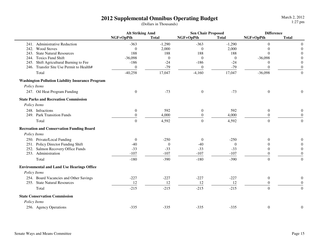|      |                                                         | <b>Alt Striking Amd</b> |              | <b>Sen Chair Proposed</b> |              | <b>Difference</b> |                  |
|------|---------------------------------------------------------|-------------------------|--------------|---------------------------|--------------|-------------------|------------------|
|      |                                                         | NGF+OpPth               | <b>Total</b> | NGF+OpPth                 | <b>Total</b> | NGF+OpPth         | <b>Total</b>     |
|      | 241. Administrative Reduction                           | $-363$                  | $-1,290$     | $-363$                    | $-1,290$     | $\overline{0}$    | $\boldsymbol{0}$ |
|      | 242. Wood Stoves                                        | $\Omega$                | 2,000        | $\theta$                  | 2,000        | $\overline{0}$    | $\boldsymbol{0}$ |
| 243. | <b>State Natural Resources</b>                          | 188                     | 188          | 188                       | 188          | $\theta$          | $\theta$         |
|      | 244. Toxics Fund Shift                                  | $-36,098$               | $\theta$     | $\overline{0}$            | $\theta$     | $-36,098$         | $\overline{0}$   |
|      | 245. Shift Agricultural Burning to Fee                  | $-186$                  | $-24$        | $-186$                    | $-24$        | 0                 | $\boldsymbol{0}$ |
|      | 246. Transfer Site Use Permit to Health#                | $\theta$                | $-79$        | $\overline{0}$            | $-79$        | $\theta$          | $\theta$         |
|      | Total                                                   | $-40,258$               | 17,047       | $-4,160$                  | 17,047       | $-36,098$         | $\boldsymbol{0}$ |
|      | <b>Washington Pollution Liability Insurance Program</b> |                         |              |                           |              |                   |                  |
|      | Policy Items                                            |                         |              |                           |              |                   |                  |
|      | 247. Oil Heat Program Funding                           | $\boldsymbol{0}$        | $-73$        | $\boldsymbol{0}$          | $-73$        | $\boldsymbol{0}$  | $\boldsymbol{0}$ |
|      | <b>State Parks and Recreation Commission</b>            |                         |              |                           |              |                   |                  |
|      | Policy Items                                            |                         |              |                           |              |                   |                  |
|      | 248. Infractions                                        | $\boldsymbol{0}$        | 592          | $\boldsymbol{0}$          | 592          | $\boldsymbol{0}$  | $\boldsymbol{0}$ |
|      | 249. Park Transition Funds                              | $\Omega$                | 4,000        | $\theta$                  | 4,000        | $\theta$          | $\Omega$         |
|      | Total                                                   | $\theta$                | 4,592        | $\boldsymbol{0}$          | 4,592        | $\overline{0}$    | $\boldsymbol{0}$ |
|      | <b>Recreation and Conservation Funding Board</b>        |                         |              |                           |              |                   |                  |
|      | Policy Items                                            |                         |              |                           |              |                   |                  |
|      | 250. Private/Local Funding                              | $\Omega$                | $-250$       | $\theta$                  | $-250$       | $\Omega$          | $\boldsymbol{0}$ |
|      | 251. Policy Director Funding Shift                      | $-40$                   | $\Omega$     | $-40$                     | $\theta$     | $\theta$          | $\theta$         |
|      | 252. Salmon Recovery Office Funds                       | $-33$                   | $-33$        | $-33$                     | $-33$        | $\Omega$          | $\theta$         |
|      | 253. Administration                                     | $-107$                  | $-107$       | $-107$                    | $-107$       | $\Omega$          | $\boldsymbol{0}$ |
|      | Total                                                   | $-180$                  | $-390$       | $-180$                    | $-390$       | $\overline{0}$    | $\boldsymbol{0}$ |
|      | <b>Environmental and Land Use Hearings Office</b>       |                         |              |                           |              |                   |                  |
|      | Policy Items                                            |                         |              |                           |              |                   |                  |
|      | 254. Board Vacancies and Other Savings                  | $-227$                  | $-227$       | $-227$                    | $-227$       | $\mathbf{0}$      | $\boldsymbol{0}$ |
|      | 255. State Natural Resources                            | 12                      | 12           | 12                        | 12           | $\theta$          | $\boldsymbol{0}$ |
|      | Total                                                   | $-215$                  | $-215$       | $-215$                    | $-215$       | $\overline{0}$    | $\overline{0}$   |
|      | <b>State Conservation Commission</b>                    |                         |              |                           |              |                   |                  |
|      | Policy Items                                            |                         |              |                           |              |                   |                  |
|      | 256. Agency Operations                                  | $-335$                  | $-335$       | $-335$                    | $-335$       | $\boldsymbol{0}$  | $\boldsymbol{0}$ |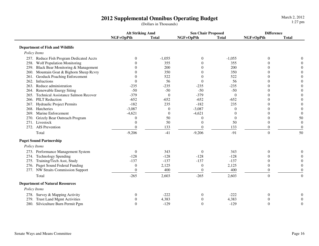|                                             | <b>Alt Striking Amd</b> |                  | <b>Sen Chair Proposed</b> |              | <b>Difference</b> |                  |
|---------------------------------------------|-------------------------|------------------|---------------------------|--------------|-------------------|------------------|
|                                             | NGF+OpPth               | <b>Total</b>     | NGF+OpPth                 | <b>Total</b> | NGF+OpPth         | <b>Total</b>     |
| <b>Department of Fish and Wildlife</b>      |                         |                  |                           |              |                   |                  |
| Policy Items                                |                         |                  |                           |              |                   |                  |
| 257. Reduce Fish Program Dedicated Accts    | $\theta$                | $-1,055$         | $\mathbf{0}$              | $-1,055$     | $\boldsymbol{0}$  |                  |
| 258. Wolf Population Monitoring             | 0                       | 355              | $\Omega$                  | 355          | $\theta$          |                  |
| 259. Black Bear Monitoring & Management     | 0                       | 200              | $\Omega$                  | 200          | 0                 | $\Omega$         |
| 260. Mountain Goat & Bighorn Sheep Rcvry    | 0                       | 350              | $\theta$                  | 350          | 0                 | $\theta$         |
| <b>Geoduck Poaching Enforcement</b><br>261. | 0                       | 522              | $\overline{0}$            | 522          | $\Omega$          | $\overline{0}$   |
| 262. Infractions                            | 0                       | 56               | $\Omega$                  | 56           | 0                 | $\theta$         |
| 263. Reduce administration                  | $-235$                  | $-235$           | $-235$                    | $-235$       | 0                 | $\theta$         |
| 264. Renewable Energy Siting                | $-50$                   | $-50$            | $-50$                     | $-50$        | $\Omega$          | $\overline{0}$   |
| 265. Technical Assistance Salmon Recover    | $-379$                  | $\theta$         | $-379$                    | $\theta$     | 0                 | $\overline{0}$   |
| 266. PILT Reduction                         | $-652$                  | $-652$           | $-652$                    | $-652$       | 0                 | $\theta$         |
| 267. Hydraulic Project Permits              | $-182$                  | 235              | $-182$                    | 235          | 0                 | $\theta$         |
| 268. Hatcheries                             | $-3,087$                | $\boldsymbol{0}$ | $-3,087$                  | $\theta$     | 0                 | $\boldsymbol{0}$ |
| 269. Marine Enforcement                     | $-4,621$                | $\mathbf{0}$     | $-4,621$                  | $\theta$     | 0                 | $\boldsymbol{0}$ |
| Grizzly Bear Outreach Program<br>270.       | $\Omega$                | 50               | $\Omega$                  | $\theta$     | 0                 | 50               |
| 271. Livestock                              | 0                       | 50               | $\overline{0}$            | 50           | $\theta$          | $\boldsymbol{0}$ |
| 272. AIS Prevention                         | $\Omega$                | 133              | $\overline{0}$            | 133          | $\overline{0}$    | $\boldsymbol{0}$ |
| Total                                       | $-9,206$                | $-41$            | $-9,206$                  | $-91$        | $\overline{0}$    | 50               |
| <b>Puget Sound Partnership</b>              |                         |                  |                           |              |                   |                  |
| Policy Items                                |                         |                  |                           |              |                   |                  |
| 273. Performance Management System          | $\theta$                | 343              | $\theta$                  | 343          | $\theta$          | 0                |
| <b>Technology Spending</b><br>274.          | $-128$                  | $-128$           | $-128$                    | $-128$       | 0                 | $\theta$         |
| Training/Tech Asst, Study<br>275.           | $-137$                  | $-137$           | $-137$                    | $-137$       | 0                 | $\Omega$         |
| 276. Puget Sound Federal Funding            | $\mathbf{0}$            | 2,125            | 0                         | 2,125        | $\theta$          | $\mathbf{0}$     |
| 277. NW Straits Commission Support          | $\overline{0}$          | 400              | $\overline{0}$            | 400          | $\mathbf{0}$      | $\overline{0}$   |
| Total                                       | $-265$                  | 2,603            | $-265$                    | 2,603        | $\boldsymbol{0}$  | $\boldsymbol{0}$ |
| <b>Department of Natural Resources</b>      |                         |                  |                           |              |                   |                  |
| Policy Items                                |                         |                  |                           |              |                   |                  |
| 278. Survey & Mapping Activity              | 0                       | $-222$           | $\mathbf{0}$              | $-222$       | $\boldsymbol{0}$  |                  |
| <b>Trust Land Mgmt Activities</b><br>279.   | 0                       | 4,383            | 0                         | 4,383        | 0                 | $\Omega$         |
| 280. Silviculture Burn Permit Pgm           | 0                       | $-129$           | $\boldsymbol{0}$          | $-129$       | $\overline{0}$    | $\Omega$         |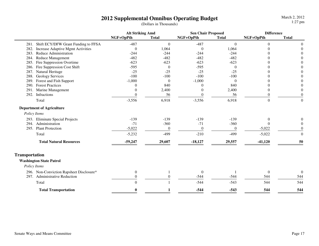March 2, 20121:27 pm

|                       |                                          | <b>Alt Striking Amd</b> |              | <b>Sen Chair Proposed</b> |              | <b>Difference</b> |                  |
|-----------------------|------------------------------------------|-------------------------|--------------|---------------------------|--------------|-------------------|------------------|
|                       |                                          | NGF+OpPth               | <b>Total</b> | NGF+OpPth                 | <b>Total</b> | NGF+OpPth         | <b>Total</b>     |
| 281.                  | Shift ECY/DFW Grant Funding to FFSA      | $-487$                  | $\mathbf{0}$ | $-487$                    | $\mathbf{0}$ | $\overline{0}$    | $\overline{0}$   |
| 282.                  | Increase Adaptive Mgmt Activities        | $\theta$                | 1,064        | $\theta$                  | 1,064        | $\Omega$          | $\Omega$         |
| 283.                  | Reduce Administration                    | $-244$                  | $-244$       | $-244$                    | $-244$       | 0                 |                  |
| 284.                  | <b>Reduce Management</b>                 | $-482$                  | $-482$       | $-482$                    | $-482$       | 0                 |                  |
| 285.                  | Fire Suppression Overtime                | $-623$                  | $-623$       | $-623$                    | $-623$       | 0                 |                  |
| 286.                  | Fire Suppression Cost Shift              | $-595$                  | $\mathbf{0}$ | $-595$                    | $\theta$     | 0                 | $\Omega$         |
| 287.                  | Natural Heritage                         | $-25$                   | $-25$        | $-25$                     | $-25$        | 0                 | $\Omega$         |
| 288.                  | <b>Geology Services</b>                  | $-100$                  | $-100$       | $-100$                    | $-100$       | 0                 | $\theta$         |
| 289.                  | Forest and Fish Support                  | $-1,000$                | $\Omega$     | $-1,000$                  | $\theta$     | 0                 | $\overline{0}$   |
| 290.                  | <b>Forest Practices</b>                  | $\Omega$                | 840          | $\Omega$                  | 840          | $\Omega$          | $\theta$         |
| 291.                  | Marine Management                        | $\theta$                | 2,400        | $\Omega$                  | 2,400        | $\theta$          | $\theta$         |
| 292.                  | Infractions                              | 0                       | 56           | $\Omega$                  | 56           | $\Omega$          | $\mathbf{0}$     |
|                       | Total                                    | $-3,556$                | 6,918        | $-3,556$                  | 6,918        | $\mathbf{0}$      | $\mathbf{0}$     |
|                       | <b>Department of Agriculture</b>         |                         |              |                           |              |                   |                  |
|                       | Policy Items                             |                         |              |                           |              |                   |                  |
|                       | 293. Eliminate Special Projects          | $-139$                  | $-139$       | $-139$                    | $-139$       | $\theta$          |                  |
| 294.                  | Administration                           | $-71$                   | $-360$       | $-71$                     | $-360$       | $\Omega$          | $\Omega$         |
| 295.                  | <b>Plant Protection</b>                  | $-5,022$                | $\theta$     | $\overline{0}$            | $\theta$     | $-5,022$          | $\Omega$         |
|                       | Total                                    | $-5,232$                | $-499$       | $-210$                    | $-499$       | $-5,022$          | $\mathbf{0}$     |
|                       | <b>Total Natural Resources</b>           | $-59,247$               | 29,607       | $-18,127$                 | 29,557       | $-41,120$         | 50               |
| <b>Transportation</b> |                                          |                         |              |                           |              |                   |                  |
|                       | <b>Washington State Patrol</b>           |                         |              |                           |              |                   |                  |
|                       | Policy Items                             |                         |              |                           |              |                   |                  |
|                       | 296. Non-Conviction Rapsheet Disclosure* | $\theta$                |              | $\mathbf{0}$              |              | $\mathbf{0}$      | $\boldsymbol{0}$ |
| 297.                  | <b>Administrative Reduction</b>          | $\Omega$                | 0            | $-544$                    | $-544$       | 544               | 544              |
|                       | Total                                    | $\Omega$                |              | $-544$                    | $-543$       | 544               | 544              |
|                       | <b>Total Transportation</b>              | $\mathbf{0}$            |              | $-544$                    | $-543$       | 544               | 544              |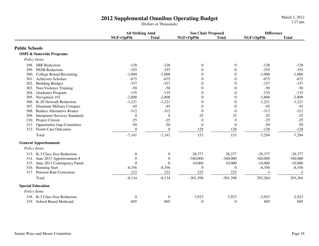|                          |                                      | <b>Alt Striking Amd</b> |                  | <b>Sen Chair Proposed</b> |                  | <b>Difference</b> |              |
|--------------------------|--------------------------------------|-------------------------|------------------|---------------------------|------------------|-------------------|--------------|
|                          |                                      | NGF+OpPth               | <b>Total</b>     | NGF+OpPth                 | <b>Total</b>     | NGF+OpPth         | <b>Total</b> |
| <b>Public Schools</b>    |                                      |                         |                  |                           |                  |                   |              |
|                          | <b>OSPI &amp; Statewide Programs</b> |                         |                  |                           |                  |                   |              |
| Policy Items             |                                      |                         |                  |                           |                  |                   |              |
|                          | 298. SBE Reduction                   | $-128$                  | $-128$           | $\boldsymbol{0}$          | $\boldsymbol{0}$ | $-128$            | $-128$       |
| 299.                     | <b>PESB Reduction</b>                | $-355$                  | $-355$           | $\theta$                  | $\overline{0}$   | $-355$            | $-355$       |
| 300.                     | College Bound Recruiting             | $-1,000$                | $-1,000$         | $\overline{0}$            | $\boldsymbol{0}$ | $-1,000$          | $-1,000$     |
|                          | 301. Achievers Scholars              | $-675$                  | $-675$           | $\overline{0}$            | $\overline{0}$   | $-675$            | $-675$       |
| 302.                     | <b>Building Bridges</b>              | $-337$                  | $-337$           | $\overline{0}$            | $\boldsymbol{0}$ | $-337$            | $-337$       |
| 303.                     | Non-Violence Training                | $-50$                   | $-50$            | $\boldsymbol{0}$          | $\boldsymbol{0}$ | $-50$             | $-50$        |
| 304.                     | <b>Graduates Program</b>             | $-135$                  | $-135$           | $\mathbf{0}$              | $\boldsymbol{0}$ | $-135$            | $-135$       |
| 305.                     | Navigation 101                       | $-2,808$                | $-2,808$         | $\theta$                  | $\overline{0}$   | $-2,808$          | $-2,808$     |
|                          | 306. K-20 Network Reduction          | $-1,221$                | $-1,221$         | $\overline{0}$            | $\boldsymbol{0}$ | $-1,221$          | $-1,221$     |
| 307.                     | <b>Eliminate Military Compact</b>    | $-45$                   | $-45$            | $\mathbf{0}$              | $\overline{0}$   | $-45$             | $-45$        |
| 308.                     | <b>Reduce Alternative Routes</b>     | $-312$                  | $-312$           | $\Omega$                  | $\boldsymbol{0}$ | $-312$            | $-312$       |
| 309.                     | Interpreter-Services Standards       | $\overline{0}$          | $\theta$         | 25                        | 25               | $-25$             | $-25$        |
| 310.                     | Project Citizen                      | $-25$                   | $-25$            | $\mathbf{0}$              | $\mathbf{0}$     | $-25$             | $-25$        |
| 311.                     | <b>Opportunity Gap Committee</b>     | $-50$                   | $-50$            | $\theta$                  | $\boldsymbol{0}$ | $-50$             | $-50$        |
|                          | 312. Foster Care Outcomes            | $\theta$                | $\boldsymbol{0}$ | 128                       | 128              | $-128$            | $-128$       |
|                          | Total                                | $-7,141$                | $-7,141$         | 153                       | 153              | $-7,294$          | $-7,294$     |
|                          | <b>General Apportionment</b>         |                         |                  |                           |                  |                   |              |
| Policy Items             |                                      |                         |                  |                           |                  |                   |              |
|                          | 313. K-3 Class Size Reduction        | $\theta$                | $\mathbf{0}$     | 28,377                    | 28,377           | $-28,377$         | $-28,377$    |
|                          | 314. June 2013 Apportionment #       | $\Omega$                | $\overline{0}$   | $-340,000$                | $-340,000$       | 340,000           | 340,000      |
| 315.                     | June 2013 Contingency Funds          | $\Omega$                | $\Omega$         | 10,000                    | 10,000           | $-10,000$         | $-10,000$    |
| 316.                     | <b>Running Start</b>                 | $-8,356$                | $-8,356$         | $\Omega$                  | $\overline{0}$   | $-8,356$          | $-8,356$     |
| 317.                     | Pension Rate Correction              | 222                     | 222              | 225                       | 225              | $-3$              | $-3$         |
|                          | Total                                | $-8,134$                | $-8,134$         | $-301,398$                | $-301,398$       | 293,264           | 293,264      |
| <b>Special Education</b> |                                      |                         |                  |                           |                  |                   |              |
| Policy Items             |                                      |                         |                  |                           |                  |                   |              |
|                          | 318. K-3 Class Size Reduction        | $\boldsymbol{0}$        | $\boldsymbol{0}$ | 3,923                     | 3,923            | $-3,923$          | $-3,923$     |
|                          | 319. School Based Medicaid           | 605                     | 605              | $\theta$                  | $\mathbf{0}$     | 605               | 605          |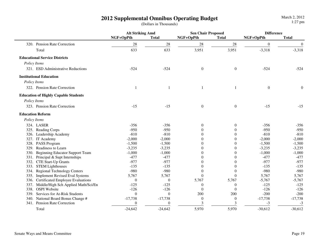|                                             | <b>Alt Striking Amd</b> |                  | <b>Sen Chair Proposed</b> |                  | <b>Difference</b> |                  |
|---------------------------------------------|-------------------------|------------------|---------------------------|------------------|-------------------|------------------|
|                                             | NGF+OpPth               | <b>Total</b>     | NGF+OpPth                 | <b>Total</b>     | NGF+OpPth         | <b>Total</b>     |
| 320. Pension Rate Correction                | 28                      | $28\,$           | 28                        | $28\,$           | $\boldsymbol{0}$  | $\mathbf{0}$     |
| Total                                       | 633                     | 633              | 3,951                     | 3,951            | $-3,318$          | $-3,318$         |
| <b>Educational Service Districts</b>        |                         |                  |                           |                  |                   |                  |
| Policy Items                                |                         |                  |                           |                  |                   |                  |
| 321. ESD Administrative Reductions          | $-524$                  | $-524$           | $\boldsymbol{0}$          | $\boldsymbol{0}$ | $-524$            | $-524$           |
| <b>Institutional Education</b>              |                         |                  |                           |                  |                   |                  |
| Policy Items                                |                         |                  |                           |                  |                   |                  |
| 322. Pension Rate Correction                | 1                       | $\mathbf{1}$     | 1                         |                  | $\boldsymbol{0}$  | $\boldsymbol{0}$ |
| <b>Education of Highly Capable Students</b> |                         |                  |                           |                  |                   |                  |
| Policy Items                                |                         |                  |                           |                  |                   |                  |
| 323. Pension Rate Correction                | $-15$                   | $-15$            | $\boldsymbol{0}$          | $\boldsymbol{0}$ | $-15$             | $-15$            |
| <b>Education Reform</b>                     |                         |                  |                           |                  |                   |                  |
| Policy Items                                |                         |                  |                           |                  |                   |                  |
| 324. LASER                                  | $-356$                  | $-356$           | $\mathbf{0}$              | $\boldsymbol{0}$ | $-356$            | $-356$           |
| 325. Reading Corps                          | $-950$                  | $-950$           | $\overline{0}$            | $\mathbf{0}$     | $-950$            | $-950$           |
| 326. Leadership Academy                     | $-810$                  | $-810$           | $\theta$                  | $\overline{0}$   | $-810$            | $-810$           |
| 327. IT Academy                             | $-2,000$                | $-2,000$         | $\Omega$                  | $\theta$         | $-2,000$          | $-2,000$         |
| 328. PASS Program                           | $-1,500$                | $-1,500$         | $\theta$                  | $\theta$         | $-1,500$          | $-1,500$         |
| Readiness to Learn<br>329.                  | $-3,235$                | $-3,235$         | $\Omega$                  | $\theta$         | $-3,235$          | $-3,235$         |
| Beginning Educator Support Team<br>330.     | $-1,000$                | $-1,000$         | $\Omega$                  | $\theta$         | $-1,000$          | $-1,000$         |
| 331. Principal & Supt Internships           | $-477$                  | $-477$           | $\Omega$                  | 0                | $-477$            | $-477$           |
| CTE Start-Up Grants<br>332.                 | $-977$                  | $-977$           | $\Omega$                  | $\Omega$         | $-977$            | $-977$           |
| 333. STEM Lighthouses                       | $-135$                  | $-135$           | $\Omega$                  | $\Omega$         | $-135$            | $-135$           |
| <b>Regional Technology Centers</b><br>334.  | $-980$                  | $-980$           | $\theta$                  | $\theta$         | $-980$            | $-980$           |
| 335. Implement Revised Eval Systems         | 5,767                   | 5,767            | $\overline{0}$            | $\mathbf{0}$     | 5,767             | 5,767            |
| 336. Certificated Employee Evaluations      | $\mathbf{0}$            | $\boldsymbol{0}$ | 5,767                     | 5,767            | $-5,767$          | $-5,767$         |
| 337. Middle/High Sch Applied Math/Sci/En    | $-125$                  | $-125$           | $\overline{0}$            | $\boldsymbol{0}$ | $-125$            | $-125$           |
| 338. OSPI Website                           | $-126$                  | $-126$           | $\theta$                  | $\theta$         | $-126$            | $-126$           |
| Services for At-Risk Students<br>339.       | $\overline{0}$          | $\theta$         | 200                       | 200              | $-200$            | $-200$           |
| National Board Bonus Change #<br>340.       | $-17,738$               | $-17,738$        | $\mathbf{0}$              | $\mathbf{0}$     | $-17,738$         | $-17,738$        |
| Pension Rate Correction<br>341.             | $\theta$                | $\theta$         | 3                         | 3                | $-3$              | $-3$             |
| Total                                       | $-24,642$               | $-24,642$        | 5,970                     | 5,970            | $-30,612$         | $-30,612$        |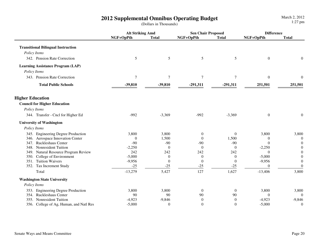|                                           | <b>Alt Striking Amd</b> |                  | <b>Sen Chair Proposed</b> |                  | <b>Difference</b> |                  |
|-------------------------------------------|-------------------------|------------------|---------------------------|------------------|-------------------|------------------|
|                                           | NGF+OpPth               | <b>Total</b>     | NGF+OpPth                 | <b>Total</b>     | NGF+OpPth         | <b>Total</b>     |
| <b>Transitional Bilingual Instruction</b> |                         |                  |                           |                  |                   |                  |
| Policy Items                              |                         |                  |                           |                  |                   |                  |
| 342. Pension Rate Correction              | $\mathfrak{S}$          | 5                | $\mathfrak{S}$            | $\sqrt{5}$       | $\boldsymbol{0}$  | $\boldsymbol{0}$ |
| <b>Learning Assistance Program (LAP)</b>  |                         |                  |                           |                  |                   |                  |
| Policy Items                              |                         |                  |                           |                  |                   |                  |
| 343. Pension Rate Correction              | $\overline{7}$          | $\boldsymbol{7}$ | $\boldsymbol{7}$          | $\boldsymbol{7}$ | $\boldsymbol{0}$  | $\boldsymbol{0}$ |
| <b>Total Public Schools</b>               | $-39,810$               | $-39,810$        | $-291,311$                | $-291,311$       | 251,501           | 251,501          |
| <b>Higher Education</b>                   |                         |                  |                           |                  |                   |                  |
| <b>Council for Higher Education</b>       |                         |                  |                           |                  |                   |                  |
| Policy Items                              |                         |                  |                           |                  |                   |                  |
| 344. Transfer - Cncl for Higher Ed        | $-992$                  | $-3,369$         | $-992$                    | $-3,369$         | $\boldsymbol{0}$  | $\boldsymbol{0}$ |
| <b>University of Washington</b>           |                         |                  |                           |                  |                   |                  |
| Policy Items                              |                         |                  |                           |                  |                   |                  |
| 345. Engineering Degree Production        | 3,800                   | 3,800            | $\mathbf{0}$              | $\boldsymbol{0}$ | 3,800             | 3,800            |
| 346. Aerospace Innovation Center          | $\theta$                | 1,500            | $\theta$                  | 1,500            | $\theta$          | $\theta$         |
| 347. Ruckleshaus Center                   | $-90$                   | $-90$            | $-90$                     | $-90$            | $\theta$          | $\overline{0}$   |
| 348. Nonresident Tuition                  | $-2,250$                | $\Omega$         | $\theta$                  | $\theta$         | $-2,250$          | $\theta$         |
| 349. Natural Resource Program Review      | 242                     | 242              | 242                       | 242              | $\Omega$          | $\Omega$         |
| College of Environment<br>350.            | $-5,000$                | $\theta$         | $\boldsymbol{0}$          | $\theta$         | $-5,000$          | $\theta$         |
| <b>Tuition Waivers</b><br>351.            | $-9,956$                | $\theta$         | $\boldsymbol{0}$          | $\theta$         | $-9,956$          | $\theta$         |
| 352. Tax Increment Study                  | $-25$                   | $-25$            | $-25$                     | $-25$            | $\theta$          | $\boldsymbol{0}$ |
| Total                                     | $-13,279$               | 5,427            | 127                       | 1,627            | $-13,406$         | 3,800            |
| <b>Washington State University</b>        |                         |                  |                           |                  |                   |                  |
| Policy Items                              |                         |                  |                           |                  |                   |                  |
| 353. Engineering Degree Production        | 3,800                   | 3,800            | $\boldsymbol{0}$          | $\mathbf{0}$     | 3,800             | 3,800            |
| <b>Ruckleshaus Center</b><br>354.         | 90                      | 90               | 90                        | 90               | $\theta$          | $\Omega$         |
| Nonresident Tuition<br>355.               | $-4,923$                | $-9,846$         | $\mathbf{0}$              | $\theta$         | $-4,923$          | $-9,846$         |
| 356. College of Ag, Human, and Natl Res   | $-5,000$                | $\mathbf{0}$     | $\boldsymbol{0}$          | $\mathbf{0}$     | $-5,000$          | $\boldsymbol{0}$ |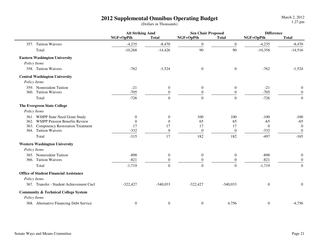|                                                 | <b>Alt Striking Amd</b> |                  | <b>Sen Chair Proposed</b> |                  | <b>Difference</b> |                  |
|-------------------------------------------------|-------------------------|------------------|---------------------------|------------------|-------------------|------------------|
|                                                 | NGF+OpPth               | <b>Total</b>     | NGF+OpPth                 | <b>Total</b>     | NGF+OpPth         | <b>Total</b>     |
| 357. Tuition Waivers                            | $-4,235$                | $-8,470$         | $\boldsymbol{0}$          | $\overline{0}$   | $-4,235$          | $-8,470$         |
| Total                                           | $-10,268$               | $-14,426$        | 90                        | 90               | $-10,358$         | $-14,516$        |
| <b>Eastern Washington University</b>            |                         |                  |                           |                  |                   |                  |
| Policy Items                                    |                         |                  |                           |                  |                   |                  |
| 358. Tuition Waivers                            | $-762$                  | $-1,524$         | $\boldsymbol{0}$          | $\overline{0}$   | $-762$            | $-1,524$         |
| <b>Central Washington University</b>            |                         |                  |                           |                  |                   |                  |
| Policy Items                                    |                         |                  |                           |                  |                   |                  |
| 359. Nonresident Tuition                        | $-21$                   | $\overline{0}$   | $\boldsymbol{0}$          | $\overline{0}$   | $-21$             | $\boldsymbol{0}$ |
| 360. Tuition Waivers                            | $-705$                  | $\boldsymbol{0}$ | $\boldsymbol{0}$          | $\boldsymbol{0}$ | $-705$            | $\overline{0}$   |
| Total                                           | $-726$                  | $\overline{0}$   | $\overline{0}$            | $\Omega$         | $-726$            | $\overline{0}$   |
| <b>The Evergreen State College</b>              |                         |                  |                           |                  |                   |                  |
| Policy Items                                    |                         |                  |                           |                  |                   |                  |
| 361. WSIPP State Need Grant Study               | $\mathbf{0}$            | $\overline{0}$   | 100                       | 100              | $-100$            | $-100$           |
| 362. WSIPP Pension Benefits Review              | $\theta$                | $\theta$         | 65                        | 65               | $-65$             | $-65$            |
| 363. Competency Restoration Treatment           | 17                      | 17               | 17                        | 17               | $\overline{0}$    | $\overline{0}$   |
| 364. Tuition Waivers                            | $-332$                  | $\boldsymbol{0}$ | $\boldsymbol{0}$          | $\boldsymbol{0}$ | $-332$            | $\boldsymbol{0}$ |
| Total                                           | $-315$                  | 17               | 182                       | 182              | $-497$            | $-165$           |
| <b>Western Washington University</b>            |                         |                  |                           |                  |                   |                  |
| Policy Items                                    |                         |                  |                           |                  |                   |                  |
| 365. Nonresident Tuition                        | $-898$                  | $\overline{0}$   | $\boldsymbol{0}$          | $\mathbf{0}$     | $-898$            | $\boldsymbol{0}$ |
| 366. Tuition Waivers                            | $-821$                  | $\overline{0}$   | $\mathbf{0}$              | $\theta$         | $-821$            | $\Omega$         |
| Total                                           | $-1,719$                | $\overline{0}$   | $\overline{0}$            | $\overline{0}$   | $-1,719$          | $\boldsymbol{0}$ |
| <b>Office of Student Financial Assistance</b>   |                         |                  |                           |                  |                   |                  |
| Policy Items                                    |                         |                  |                           |                  |                   |                  |
| 367. Transfer - Student Achievement Cncl        | $-322,427$              | $-340,033$       | $-322,427$                | $-340,033$       | $\boldsymbol{0}$  | $\boldsymbol{0}$ |
| <b>Community &amp; Technical College System</b> |                         |                  |                           |                  |                   |                  |
| Policy Items                                    |                         |                  |                           |                  |                   |                  |
| 368. Alternative Financing Debt Service         | $\boldsymbol{0}$        | $\boldsymbol{0}$ | $\boldsymbol{0}$          | 4,756            | $\boldsymbol{0}$  | $-4,756$         |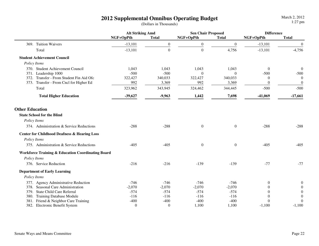|                        |                                                              | <b>Alt Striking Amd</b> |                  | <b>Sen Chair Proposed</b> |                  | <b>Difference</b> |                  |
|------------------------|--------------------------------------------------------------|-------------------------|------------------|---------------------------|------------------|-------------------|------------------|
|                        |                                                              | NGF+OpPth               | <b>Total</b>     | NGF+OpPth                 | <b>Total</b>     | NGF+OpPth         | <b>Total</b>     |
|                        | 369. Tuition Waivers                                         | $-13,101$               | $\boldsymbol{0}$ | $\mathbf{0}$              | $\mathbf{0}$     | $-13,101$         | $\overline{0}$   |
|                        | Total                                                        | $-13,101$               | $\boldsymbol{0}$ | $\boldsymbol{0}$          | 4,756            | $-13,101$         | $-4,756$         |
|                        | <b>Student Achievement Council</b>                           |                         |                  |                           |                  |                   |                  |
|                        | Policy Items                                                 |                         |                  |                           |                  |                   |                  |
|                        | 370. Student Achievement Council                             | 1,043                   | 1,043            | 1,043                     | 1,043            | $\theta$          | $\boldsymbol{0}$ |
|                        | 371. Leadership 1000                                         | $-500$                  | $-500$           | $\theta$                  | $\theta$         | $-500$            | $-500$           |
|                        | 372. Transfer - From Student Fin Aid Ofc                     | 322,427                 | 340,033          | 322,427                   | 340,033          | $\Omega$          | $\overline{0}$   |
|                        | 373. Transfer - From Cncl for Higher Ed                      | 992                     | 3,369            | 992                       | 3,369            | $\theta$          | $\boldsymbol{0}$ |
|                        | Total                                                        | 323,962                 | 343,945          | 324,462                   | 344,445          | $-500$            | $-500$           |
|                        | <b>Total Higher Education</b>                                | $-39,627$               | $-9,963$         | 1,442                     | 7,698            | $-41,069$         | $-17,661$        |
| <b>Other Education</b> | <b>State School for the Blind</b>                            |                         |                  |                           |                  |                   |                  |
|                        |                                                              |                         |                  |                           |                  |                   |                  |
|                        | Policy Items                                                 |                         |                  |                           |                  |                   |                  |
|                        | 374. Administration & Service Reductions                     | $-288$                  | $-288$           | $\theta$                  | $\theta$         | $-288$            | $-288$           |
|                        | <b>Center for Childhood Deafness &amp; Hearing Loss</b>      |                         |                  |                           |                  |                   |                  |
|                        | Policy Items                                                 |                         |                  |                           |                  |                   |                  |
|                        | 375. Administration & Service Reductions                     | $-405$                  | $-405$           | $\boldsymbol{0}$          | $\boldsymbol{0}$ | $-405$            | $-405$           |
|                        | <b>Workforce Training &amp; Education Coordinating Board</b> |                         |                  |                           |                  |                   |                  |
|                        | Policy Items                                                 |                         |                  |                           |                  |                   |                  |
|                        | 376. Service Reduction                                       | $-216$                  | $-216$           | $-139$                    | $-139$           | $-77$             | $-77$            |
|                        | <b>Department of Early Learning</b>                          |                         |                  |                           |                  |                   |                  |
|                        | Policy Items                                                 |                         |                  |                           |                  |                   |                  |
|                        | 377. Agency Administrative Reduction                         | $-746$                  | $-746$           | $-746$                    | $-746$           | $\theta$          | $\theta$         |
|                        | 378. Seasonal Care Administration                            | $-2,070$                | $-2,070$         | $-2,070$                  | $-2,070$         | $\Omega$          | $\Omega$         |
| 379.                   | <b>State Child Care Referral</b>                             | $-574$                  | $-574$           | $-574$                    | $-574$           | $\Omega$          | $\theta$         |
|                        | 380. Training Database Module                                | $-116$                  | $-116$           | $-116$                    | $-116$           |                   | $\theta$         |
|                        | 381. Friend & Neighbor Care Training                         | $-400$                  | $-400$           | $-400$                    | $-400$           | $\Omega$          | $\mathbf{0}$     |
|                        | 382. Electronic Benefit System                               | $\theta$                | $\theta$         | 1,100                     | 1,100            | $-1,100$          | $-1,100$         |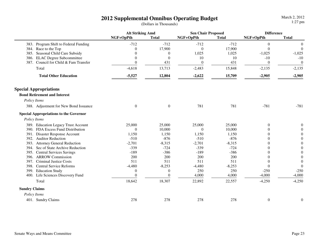|                                               | <b>Alt Striking Amd</b> |                  | <b>Sen Chair Proposed</b> |              | <b>Difference</b> |                  |
|-----------------------------------------------|-------------------------|------------------|---------------------------|--------------|-------------------|------------------|
|                                               | NGF+OpPth               | <b>Total</b>     | NGF+OpPth                 | <b>Total</b> | NGF+OpPth         | <b>Total</b>     |
| 383. Program Shift to Federal Funding         | $-712$                  | $-712$           | $-712$                    | $-712$       | $\boldsymbol{0}$  | $\theta$         |
| 384. Race to the Top                          | $\Omega$                | 17,900           | $\theta$                  | 17,900       | $\theta$          | $\boldsymbol{0}$ |
| 385. Seasonal Child Care Subsidy              |                         | $\boldsymbol{0}$ | 1,025                     | 1,025        | $-1,025$          | $-1,025$         |
| 386. ELAC Degree Subcommittee                 | $\overline{0}$          | $\mathbf{0}$     | 10                        | 10           | $-10$             | $-10$            |
| 387. Council for Child & Fam Transfer         | $\Omega$                | 431              | $\boldsymbol{0}$          | 431          | $\boldsymbol{0}$  | $\mathbf{0}$     |
| Total                                         | $-4,618$                | 13,713           | $-2,483$                  | 15,848       | $-2,135$          | $-2,135$         |
| <b>Total Other Education</b>                  | $-5,527$                | 12,804           | $-2,622$                  | 15,709       | $-2,905$          | $-2,905$         |
| <b>Special Appropriations</b>                 |                         |                  |                           |              |                   |                  |
| <b>Bond Retirement and Interest</b>           |                         |                  |                           |              |                   |                  |
| Policy Items                                  |                         |                  |                           |              |                   |                  |
| 388. Adjustment for New Bond Issuance         | $\boldsymbol{0}$        | $\boldsymbol{0}$ | 781                       | 781          | $-781$            | $-781$           |
| <b>Special Appropriations to the Governor</b> |                         |                  |                           |              |                   |                  |
| Policy Items                                  |                         |                  |                           |              |                   |                  |
| 389. Education Legacy Trust Account           | 25,000                  | 25,000           | 25,000                    | 25,000       | $\boldsymbol{0}$  | $\Omega$         |
| 390. FDA Excess Fund Distribution             | $\theta$                | 10,000           | $\boldsymbol{0}$          | 10,000       | $\theta$          | $\Omega$         |
| 391. Disaster Response Account                | 1,150                   | 1,150            | 1,150                     | 1,150        | $\Omega$          | $\Omega$         |
| 392. Auditor Reduction                        | $-510$                  | $-876$           | $-510$                    | $-876$       | $\Omega$          | $\Omega$         |
| 393. Attorney General Reduction               | $-2,701$                | $-8,315$         | $-2,701$                  | $-8,315$     | $\Omega$          | $\Omega$         |
| 394. Sec of State Archive Reduction           | $-339$                  | $-724$           | $-339$                    | $-724$       | $\Omega$          | $\theta$         |
| 395. Central Services Savings                 | $-189$                  | $-386$           | $-189$                    | $-386$       | $\theta$          | $\overline{0}$   |
| 396. ARROW Commission                         | 200                     | 200              | 200                       | 200          | $\Omega$          | $\theta$         |
| <b>Criminal Justice Costs</b><br>397.         | 511                     | 511              | 511                       | 511          | $\theta$          | $\overline{0}$   |
| <b>Central Service Reforms</b><br>398.        | $-4,480$                | $-8,253$         | $-4,480$                  | $-8,253$     | $\theta$          | $\theta$         |
| 399. Education Study                          | $\overline{0}$          | $\theta$         | 250                       | 250          | $-250$            | $-250$           |
| 400. Life Sciences Discovery Fund             | $\theta$                | $\Omega$         | 4,000                     | 4,000        | $-4,000$          | $-4,000$         |
| Total                                         | 18,642                  | 18,307           | 22,892                    | 22,557       | $-4,250$          | $-4,250$         |
| <b>Sundry Claims</b>                          |                         |                  |                           |              |                   |                  |
| Policy Items                                  |                         |                  |                           |              |                   |                  |
| 401. Sundry Claims                            | 278                     | 278              | 278                       | 278          | $\boldsymbol{0}$  | $\boldsymbol{0}$ |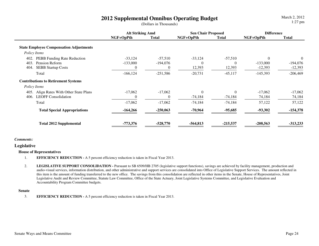March 2, 20121:27 pm

|                                                | <b>Alt Striking Amd</b> |              | <b>Sen Chair Proposed</b> |            | <b>Difference</b> |                |
|------------------------------------------------|-------------------------|--------------|---------------------------|------------|-------------------|----------------|
|                                                | NGF+OpPth               | <b>Total</b> | NGF+OpPth                 | Total      | NGF+OpPth         | Total          |
|                                                |                         |              |                           |            |                   |                |
| <b>State Employee Compensation Adjustments</b> |                         |              |                           |            |                   |                |
| Policy Items                                   |                         |              |                           |            |                   |                |
| <b>PEBB</b> Funding Rate Reduction<br>402.     | $-33,124$               | $-57,510$    | $-33,124$                 | $-57,510$  | $\overline{0}$    | $\overline{0}$ |
| Pension Reform<br>403.                         | $-133,000$              | $-194,076$   | $\Omega$                  | $\Omega$   | $-133,000$        | $-194,076$     |
| 404.<br><b>SEBB Startup Costs</b>              | 0                       | $\Omega$     | 12,393                    | 12,393     | $-12,393$         | $-12,393$      |
| Total                                          | $-166, 124$             | $-251,586$   | $-20,731$                 | $-45,117$  | $-145,393$        | $-206,469$     |
| <b>Contributions to Retirement Systems</b>     |                         |              |                           |            |                   |                |
| Policy Items                                   |                         |              |                           |            |                   |                |
| Align Rates With Other State Plans<br>405.     | $-17,062$               | $-17,062$    | $\theta$                  | $\Omega$   | $-17,062$         | $-17,062$      |
| <b>LEOFF Consolidation</b><br>406.             | 0                       |              | $-74,184$                 | $-74,184$  | 74,184            | 74,184         |
| Total                                          | $-17,062$               | $-17,062$    | $-74,184$                 | $-74,184$  | 57,122            | 57,122         |
| <b>Total Special Appropriations</b>            | $-164,266$              | $-250,063$   | $-70,964$                 | $-95,685$  | $-93,302$         | $-154,378$     |
| <b>Total 2012 Supplemental</b>                 | $-773,376$              | $-528,770$   | $-564,813$                | $-215,537$ | $-208,563$        | $-313,233$     |

#### *Comments:*

#### **Legislative**

#### **House of Representatives**

1.**EFFICIENCY REDUCTION -** A 5 percent efficiency reduction is taken in Fiscal Year 2013.

2.LEGISLATIVE SUPPORT CONSOLIDATION - Pursuant to SB 6509/HB 2705 (legislative support functions), savings are achieved by facility management, production and audio-visual services, information distribution, and other administrative and support services are consolidated into Office of Legislative Support Services. The amount reflected in this item is the amount of funding transferred to the new office. The savings from this consolidation are reflected in other items in the Senate, House of Representatives, Joint Legislative Audit and Review Committee, Statute Law Committee, Office of the State Actuary, Joint Legislative Systems Committee, and Legislative Evaluation and Accountability Program Committee budgets.

#### **Senate**

3.**EFFICIENCY REDUCTION -** A 5 percent efficiency reduction is taken in Fiscal Year 2013.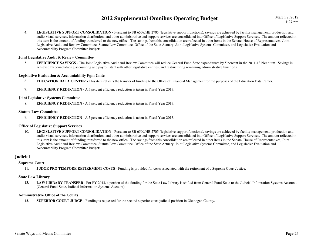4.LEGISLATIVE SUPPORT CONSOLIDATION - Pursuant to SB 6509/HB 2705 (legislative support functions), savings are achieved by facility management, production and audio-visual services, information distribution, and other administrative and support services are consolidated into Office of Legislative Support Services. The amount reflected in this item is the amount of funding transferred to the new office. The savings from this consolidation are reflected in other items in the Senate, House of Representatives, Joint Legislative Audit and Review Committee, Statute Law Committee, Office of the State Actuary, Joint Legislative Systems Committee, and Legislative Evaluation and Accountability Program Committee budgets.

#### **Joint Legislative Audit & Review Committee**

5.**EFFICIENCY SAVINGS** - The Joint Legislative Audit and Review Committee will reduce General Fund-State expenditures by 5 percent in the 2011-13 biennium. Savings is achieved by consolidating accounting and payroll staff with other legislative entities, and restructuring remaining administrative functions.

#### **Legislative Evaluation & Accountability Pgm Cmte**

- 6.**EDUCATION DATA CENTER -** This item reflects the transfer of funding to the Office of Financial Management for the purposes of the Education Data Center.
- 7.**EFFICIENCY REDUCTION -** A 5 percent efficiency reduction is taken in Fiscal Year 2013.

#### **Joint Legislative Systems Committee**

8.**EFFICIENCY REDUCTION -** A 5 percent efficiency reduction is taken in Fiscal Year 2013.

#### **Statute Law Committee**

9.**EFFICIENCY REDUCTION -** A 5 percent efficiency reduction is taken in Fiscal Year 2013.

#### **Office of Legislative Support Services**

10.LEGISLATIVE SUPPORT CONSOLIDATION - Pursuant to SB 6509/HB 2705 (legislative support functions), savings are achieved by facility management, production and audio-visual services, information distribution, and other administrative and support services are consolidated into Office of Legislative Support Services. The amount reflected in this item is the amount of funding transferred to the new office. The savings from this consolidation are reflected in other items in the Senate, House of Representatives, Joint Legislative Audit and Review Committee, Statute Law Committee, Office of the State Actuary, Joint Legislative Systems Committee, and Legislative Evaluation and Accountability Program Committee budgets.

#### **Judicial**

#### **Supreme Court**

11.**JUDGE PRO TEMPORE RETIREMENT COSTS -** Funding is provided for costs associated with the retirement of a Supreme Court Justice.

#### **State Law Library**

13.LAW LIBRARY TRANSFER - For FY 2013, a portion of the funding for the State Law Library is shifted from General Fund-State to the Judicial Infomration Systems Account. (General Fund-State, Judicial Information Systems Account)

#### **Administrative Office of the Courts**

15.**SUPERIOR COURT JUDGE -** Funding is requested for the second superior court judicial position in Okanogan County.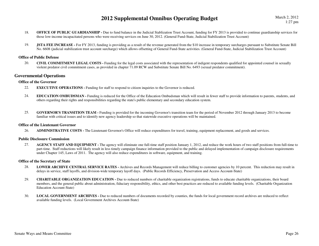- 18.**OFFICE OF PUBLIC GUARDIANSHIP -** Due to fund balance in the Judicial Stablization Trust Account, funding for FY 2013 is provided to continue guardianship services for those low-income incapacitated persons who were receiving services on June 30, 2012. (General Fund-State, Judicial Stabilization Trust Account)
- 19.**JSTA FEE INCREASE** - For FY 2013, funding is providing as a result of the revenue generated from the \$10 increase in temporary surcharges pursuant to Substitute Senate Bill No. 6608 (judicial stabilization trust account surcharge) which allows offsetting of General Fund-State activities. (General Fund-State, Judicial Stabilization Trust Account)

#### **Office of Public Defense**

20. **CIVIL COMMITMENT LEGAL COSTS -** Funding for the legal costs associated with the representation of indigent respondents qualified for appointed counsel in sexually violent predator civil commitment cases, as provided in chapter 71.09 RCW and Substitute Senate Bill No. 6493 (sexual predator commitment).

#### **Governmental Operations**

#### **Office of the Governor**

- 22.**EXECUTIVE OPERATIONS - Funding for staff to respond to citizen inquiries to the Governor is reduced.**
- 24. **EDUCATION OMBUDSMAN -** Funding is reduced for the Office of the Education Ombudsman which will result in fewer staff to provide information to parents, students, and others regarding their rights and responsibilities regarding the state's public elementary and secondary education system.
- 25. **GOVERNOR'S TRANSITION TEAM -** Funding is provided for the incoming Governor's transition team for the period of November 2012 through January 2013 to become familiar with critical issues and to identify new agency leadership so that statewide executive operations will be maintained.

#### **Office of the Lieutenant Governor**

26.**ADMINISTRATIVE COSTS -** The Lieutenant Governor's Office will reduce expenditures for travel, training, equipment replacement, and goods and services.

#### **Public Disclosure Commission**

**AGENCY STAFF AND EQUIPMENT** - The agency will eliminate one full-time staff position January 1, 2012, and reduce the work hours of two staff positions from full-time to 27.part-time. Staff reductions will likely result in less timely campaign finance information provided to the public and delayed implementation of campaign disclosure requirements under Chapter 145, Laws of 2011. The agency will also reduce expenditures in software, equipment, and training.

#### **Office of the Secretary of State**

- 28. **LOWER ARCHIVE CENTRAL SERVICE RATES -** Archives and Records Management will reduce billing to customer agencies by 10 percent. This reduction may result in delays in service, staff layoffs, and division-wide temporary layoff days. (Public Records Efficiency, Preservation and Access Account-State)
- 29. **CHARITABLE ORGANIZATION EDUCATION -** Due to reduced numbers of charitable organization registrations, funds to educate charitable organizations, their board members, and the general public about administration, fiduciary responsibility, ethics, and other best practices are reduced to available funding levels. (Charitable Organization Education Account-State)
- 30. **LOCAL GOVERNMENT ARCHIVES -** Due to reduced numbers of documents recorded by counties, the funds for local government record archives are reduced to reflect available funding levels. (Local Government Archives Account-State)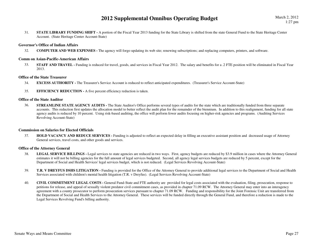March 2, 20121:27 pm

31.**STATE LIBRARY FUNDING SHIFT** - A portion of the Fiscal Year 2013 funding for the State Library is shifted from the state General Fund to the State Heritage Center Account. (State Heritage Center Account-State)

#### **Governor's Office of Indian Affairs**

32.**COMPUTER AND WEB EXPENSES -** The agency will forgo updating its web site; renewing subscriptions; and replacing computers, printers, and software.

#### **Comm on Asian-Pacific-American Affairs**

33.**STAFF AND TRAVEL** - Funding is reduced for travel, goods, and services in Fiscal Year 2012. The salary and benefits for a .2 FTE position will be eliminated in Fiscal Year 2013.

#### **Office of the State Treasurer**

- 34.**EXCESS AUTHORITY -** The Treasurer's Service Account is reduced to reflect anticipated expenditures. (Treasurer's Service Account-State)
- 35.**EFFICIENCY REDUCTION - A five percent efficiency reduction is taken.**

#### **Office of the State Auditor**

36.**STREAMLINE STATE AGENCY AUDITS** - The State Auditor's Office performs several types of audits for the state which are traditionally funded from three separate accounts. This reduction first updates the allocation model to better reflect the audit plan for the remainder of the biennium. In addition to this realignment, funding for all state agency audits is reduced by 10 percent. Using risk-based auditing, the office will perform fewer audits focusing on higher-risk agencies and programs. (Auditing Services Revolving Account-State)

#### **Commission on Salaries for Elected Officials**

37. **HOLD VACANCY AND REDUCE SERVICES -** Funding is adjusted to reflect an expected delay in filling an executive assistant position and decreased usage of Attorney General services, travel costs, and other goods and services.

#### **Office of the Attorney General**

- 38.LEGAL SERVICE BILLINGS - Legal services to state agencies are reduced in two ways. First, agency budgets are reduced by \$3.9 million in cases where the Attorney General estimates it will not be billing agencies for the full amount of legal services budgeted. Second, all agency legal services budgets are reduced by 5 percent, except for the Department of Social and Health Services' legal services budget, which is not reduced. (Legal Services Revolving Account-State)
- 39.**T.R. V DREYFUS DSHS LITIGATION -** Funding is provided for the Office of the Attorney General to provide additional legal services to the Department of Social and Health Services associated with children's mental health litigation (T.R. v Dreyfus). (Legal Services Revolving Account-State)
- 40. **CIVIL COMMITMENT LEGAL COSTS -** General Fund-State and FTE authority are provided for legal costs associated with the evaluation, filing, prosecution, response to petitions for release, and appeal of sexually violent predator civil commitment cases, as provided in chapter 71.09 RCW. The Attorney General may enter into an interagency agreement with a county prosecutor to perform prosecution services pursuant to chapter 71.09 RCW. Funding and responsibility for the Joint Forensic Unit are transferred from the Department of Social and Health Services to the Attorney General. These services will be funded directly through the General Fund, and therefore a reduction is made to the Legal Services Revolving Fund's billing authority.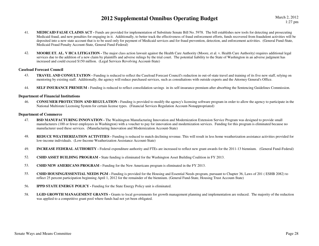- 41. **MEDICAID FALSE CLAIMS ACT -** Funds are provided for implementation of Substitute Senate Bill No. 5978. The bill establishes new tools for detecting and prosecuting Medicaid fraud, and new penalties for engaging in it. Additionally, to better track the effectiveness of fraud enforcement efforts, funds recovered from fraudulent activities will be deposited into a new state account that is to be used only for payment of Medicaid services and for fraud prevention, detection, and enforcement activities. (General Fund-State, Medicaid Fraud Penalty Account-State, General Fund-Federal)
- 42. **MOORE ET. AL. V HCA LITIGATION -** The major class action lawsuit against the Health Care Authority (Moore, et al. v. Health Care Authority) requires additional legal services due to the addition of a new claim by plaintiffs and adverse rulings by the trial court. The potential liability to the State of Washington in an adverse judgment has increased and could exceed \$150 million. (Legal Services Revolving Account-State)

#### **Caseload Forecast Council**

- 43.**TRAVEL AND CONSULTATION** - Funding is reduced to reflect the Caseload Forecast Council's reduction in out-of-state travel and training of its five new staff, relying on mentoring by existing staff. Additionally, the agency will reduce purchased services, such as consultations with outside experts and the Attorney General's Office.
- 44.**SELF INSURANCE PREMIUM -** Funding is reduced to reflect consolidation savings in its self-insurance premium after absorbing the Sentencing Guidelines Commission.

#### **Department of Financial Institutions**

46. **CONSUMER PROTECTION AND REGULATION -** Funding is provided to modify the agency's licensing software program in order to allow the agency to participate in the National Multistate Licensing System for certain license types. (Financial Services Regulation Account-Nonappropriated)

#### **Department of Commerce**

- 47. **BSD MANUFACTURING INNOVATION -** The Washington Manufacturing Innovation and Modernization Extension Service Program was designed to provide small manufacturers (100 or fewer employees in Washington) with a voucher to pay for innovation and modernization services. Funding for this program is eliminated because no manufacturer used these services. (Manufacturing Innovation and Modernization Account-State)
- 48.**REDUCE WEATHERIZATION ACTIVITIES** - Funding is reduced to match declining revenue. This will result in less home weatherization assistance activities provided for low-income individuals. (Low-Income Weatherization Assistance Account-State)
- 49.**INCREASE FEDERAL AUTHORITY** - Federal expenditure authority and FTEs are increased to reflect new grant awards for the 2011-13 biennium. (General Fund-Federal)
- 52.**CSHD ASSET BUILDING PROGRAM -** State funding is eliminated for the Washington Asset Building Coalition in FY 2013.
- 53.**CSHD NEW AMERICANS PROGRAM -** Funding for the New Americans program is eliminated in the FY 2013.
- 55. **CSHD HOUSING/ESSENTIAL NEEDS PGM -** Funding is provided for the Housing and Essential Needs program, pursuant to Chapter 36, Laws of 201 ( ESHB 2082) to reflect 25 percent participation beginning April 1, 2012 for the remainder of the biennium. (General Fund-State, Housing Trust Account-State)
- 56.**IPPD STATE ENERGY POLICY - Funding for the State Energy Policy unit is eliminated.**
- 58.LGID GROWTH MANAGEMENT GRANTS - Grants to local governments for growth management planning and implementation are reduced. The majority of the reduction was applied to a competitive grant pool where funds had not yet been obligated.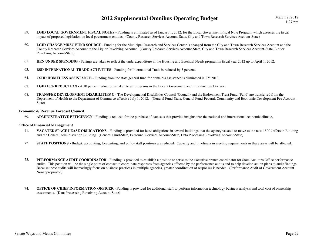- 59.LGID LOCAL GOVERNMENT FISCAL NOTES - Funding is eliminated as of January 1, 2012, for the Local Government Fiscal Note Program, which assesses the fiscal impact of proposed legislation on local government entities. (County Research Services Account-State, City and Town Research Services Account-State)
- 60.LGID CHANGE MRSC FUND SOURCE - Funding for the Municipal Research and Services Center is changed from the City and Town Research Services Account and the County Research Services Account to the Liquor Revolving Account. (County Research Services Account-State, City and Town Research Services Account-State, Liquor Revolving Account-State)
- 61.**HEN UNDER SPENDING -** Savings are taken to reflect the underexpenditure in the Housing and Essential Needs program in fiscal year 2012 up to April 1, 2012.
- 63.**BSD INTERNATIONAL TRADE ACTIVITIES - Funding for International Trade is reduced by 5 percent.**
- 64.**CSHD HOMELESS ASSISTANCE -** Funding from the state general fund for homeless assistance is eliminated in FY 2013.
- 67.**LGID 10% REDUCTION -** A 10 percent reduction is taken to all programs in the Local Government and Infrastructure Division.
- 68. **TRANSFER DEVELOPMENT DISABILITIES C -** The Developmental Disabilities Council (Council) and the Endowment Trust Fund (Fund) are transferred from the Department of Health to the Department of Commerce effective July 1, 2012. (General Fund-State, General Fund-Federal, Community and Economic Development Fee Account-State)

#### **Economic & Revenue Forecast Council**

69.**ADMINISTRATIVE EFFICIENCY -** Funding is reduced for the purchase of data sets that provide insights into the national and international economic climate.

#### **Office of Financial Management**

- 71.**VACATED SPACE LEASE OBLIGATIONS** - Funding is provided for lease obligations in several buildings that the agency vacated to move to the new 1500 Jefferson Building and the General Administration Building. (General Fund-State, Personnel Services Account-State, Data Processing Revolving Account-State)
- 72.**STAFF POSITIONS** - Budget, accounting, forecasting, and policy staff positions are reduced. Capacity and timeliness in meeting requirements in these areas will be affected.
- 73.**PERFORMANCE AUDIT COORDINATOR -** Funding is provided to establish a position to serve as the executive branch coordinator for State Auditor's Office performance audits. This position will be the single point of contact to coordinate responses from agencies affected by the performance audits and to help develop action plans to audit findings. Because these audits will increasingly focus on business practices in multiple agencies, greater coordination of responses is needed. (Performance Audit of Government Account-Nonappropriated)
- 74.**OFFICE OF CHIEF INFORMATION OFFICER -** Funding is provided for additional staff to perform information technology business analysis and total cost of ownership assessments. (Data Processing Revolving Account-State)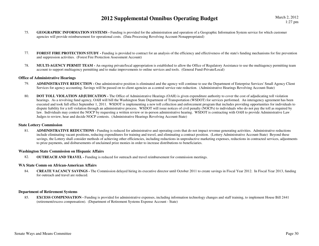March 2, 20121:27 pm

- 75. **GEOGRAPHIC INFORMATION SYSTEMS -** Funding is provided for the administration and operation of a Geographic Information System service for which customer agencies will provide reimbursement for operational costs. (Data Processing Revolving Account-Nonappropriated)
- 77.**FOREST FIRE PROTECTION STUDY** - Funding is provided to contract for an analysis of the efficiency and effectiveness of the state's funding mechanisms for fire prevention and suppression activities. (Forest Fire Protection Assessment Account)
- 78. **MULTI-AGENCY PERMIT TEAM -** An ongoing private/local appropriation is established to allow the Office of Regulatory Assistance to use the multiagency permitting team account to support multiagency permitting and to make improvements to online services and tools. (General Fund-Private/Local)

#### **Office of Administrative Hearings**

- 79. **ADMINISTRATIVE REDUCTION -** One administrative position is eliminated and the agency will continue to use the Department of Enterprise Services' Small Agency Client Services for agency accounting. Savings will be passed on to client agencies as a central service rate reduction. (Administrative Hearings Revolving Account-State)
- 80.**DOT TOLL VIOLATION ADJUDICATION -** The Office of Administrative Hearings (OAH) is given expenditure authority to cover the cost of adjudicating toll violation hearings. As a revolving fund agency, OAH will bill the Washington State Department of Transportation (WSDOT) for services performed. An interagency agreement has been executed and took full effect September 1, 2011. WSDOT is implementing a new toll collection and enforcement program that includes providing opportunities for individuals to dispute liability for a toll violation through an administrative process. WSDOT will issue notices of civil penalty (NOCPs) to individuals who do not pay the toll as required by law. Individuals may contest the NOCP by requesting a written review or in-person administrative hearing. WSDOT is contracting with OAH to provide Administrative Law Judges to review, hear and decide NOCP contests. (Administrative Hearings Revolving Account-State)

#### **State Lottery Commission**

81. **ADMINISTRATIVE REDUCTIONS -** Funding is reduced for administrative and operating costs that do not impact revenue generating activities. Administrative reductions include eliminating vacant positions, reducing expenditures for training and travel, and eliminating a contract position. (Lottery Administrative Account-State) Beyond these savings, the Lottery shall consider methods of achieving other efficiencies, including reductions in unproductive marketing expenses, reductions in contracted services, adjustments to prize payments, and disbursements of unclaimed prize monies in order to increase distributions to beneficiaries.

#### **Washington State Commission on Hispanic Affairs**

82.**OUTREACH AND TRAVEL -** Funding is reduced for outreach and travel reimbursement for commission meetings.

#### **WA State Comm on African-American Affairs**

84. **CREATE VACANCY SAVINGS -** The Commission delayed hiring its executive director until October 2011 to create savings in Fiscal Year 2012. In Fiscal Year 2013, funding for outreach and travel are reduced.

#### **Department of Retirement Systems**

85.**EXCESS COMPENSATION -** Funding is provided for administrative expenses, including information technology changes and staff training, to implement House Bill 2441 (retirement/excess compensation). (Department of Retirement Systems Expense Account - State)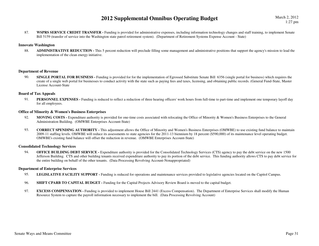March 2, 20121:27 pm

87.**WSPRS SERVICE CREDIT TRANSFER -** Funding is provided for administrative expenses, including information technology changes and staff training, to implement Senate Bill 5159 (transfer of service into the Washington state patrol retirement system). (Department of Retirement Systems Expense Account - State)

#### **Innovate Washington**

ADMINISTRATIVE REDUCTION - This 5 percent reduction will preclude filling some management and administrative positions that support the agency's mission to lead the 88.implementation of the clean energy initiative.

#### **Department of Revenue**

90.**SINGLE PORTAL FOR BUSINESS** - Funding is provided for for the implementation of Egrossed Substitute Senate Bill 6356 (single portal for business) which requires the create of a single web portal for businesses to conduct activity with the state such as paying fees and taxes, licensing, and obtaining public records. (General Fund-State, Master License Account-State

#### **Board of Tax Appeals**

91.**PERSONNEL EXPENSES** - Funding is reduced to reflect a reduction of three hearing officers' work hours from full-time to part-time and implement one temporary layoff day for all employees.

#### **Office of Minority & Women's Business Enterprises**

- 92. **MOVING COSTS -** Expenditure authority is provided for one-time costs associated with relocating the Office of Minority & Women's Business Enterprises to the General Administration Building. (OMWBE Enterprises Account-State)
- 93. **CORRECT SPENDING AUTHORITY -** This adjustment allows the Office of Minority and Women's Business Enterprises (OMWBE) to use existing fund balance to maintain 2009-11 staffing levels. OMWBE will reduce its assessments to state agencies for the 2011-13 biennium by 18 percent (\$590,000) of its maintenance level operating budget. OMWBE's existing fund balance will offset the reduction in revenue. (OMWBE Enterprises Account-State)

#### **Consolidated Technology Services**

94.**OFFICE BUILDING DEBT SERVICE -** Expenditure authority is provided for the Consolidated Technology Services (CTS) agency to pay the debt service on the new 1500 Jefferson Building. CTS and other building tenants received expenditure authority to pay its portion of the debt service. This funding authority allows CTS to pay debt service for the entire building on behalf of the other tenants. (Data Processing Revolving Account-Nonappropriated)

#### **Department of Enterprise Services**

- 95.**LEGISLATIVE FACILITY SUPPORT -** Funding is reduced for operations and maintenance services provided to legislative agencies located on the Capitol Campus.
- 96.**SHIFT CPARB TO CAPITAL BUDGET - Funding for the Capital Projects Advisory Review Board is moved to the capital budget.**
- 97.**EXCESS COMPENSATION -** Funding is provided to implement House Bill 2441 (Excess Compensation). The Department of Enterprise Services shall modify the Human Resource System to capture the payroll information necessary to implement the bill. (Data Processing Revolving Account)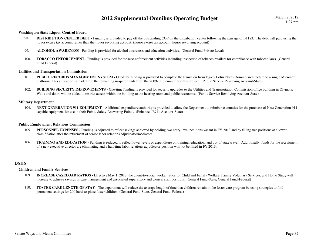#### **Washington State Liquor Control Board**

- DISTRIBUTION CENTER DEBT Funding is provided to pay off the outstanding COP on the distribution center following the passage of I-1183. The debt will paid using the 98.liquor excise tax account rather than the liquor revolving account. (liquor excise tax account, liquor revolving account)
- 99.**ALCOHOL AWARENESS -** Funding is provided for alcohol awareness and education activities. (General Fund Private Local)
- 100. **TOBACCO ENFORCEMENT -** Funding is provided for tobacco enforcement activities including inspection of tobacco retailers for compliance with tobacco laws. (General Fund Federal)

#### **Utilities and Transportation Commission**

- PUBLIC RECORDS MANAGEMENT SYSTEM One-time funding is provided to complete the transition from legacy Lotus Notes Domino architecture to a single Microsoft 101.platform. This allocation is made from the remaining unspent funds from the 2009-11 biennium for this project. (Public Service Revolving Account-State)
- 102.**BUILDING SECURITY IMPROVEMENTS** - One-time funding is provided for security upgrades to the Utilities and Transportation Commission office building in Olympia. Walls and doors will be added to restrict access within the building to the hearing room and public restrooms. (Public Service Revolving Account-State)

#### **Military Department**

104. **NEXT GENERATION 911 EQUIPMENT -** Additional expenditure authority is provided to allow the Department to reimburse counties for the purchase of Next Generation 911 capable equipment for use in their Public Safety Answering Points. (Enhanced E911 Account-State)

#### **Public Employment Relations Commission**

- 105.**PERSONNEL EXPENSES** - Funding is adjusted to reflect savings achieved by holding two entry-level positions vacant in FY 2013 and by filling two positions at a lower classification after the retirement of senior labor relations adjudicator/mediators.
- 106.**TRAINING AND EDUCATION** - Funding is reduced to reflect lower levels of expenditure on training, education, and out-of-state travel. Additionally, funds for the recruitment of a new executive director are eliminating and a half-time labor relations adjudicator position will not be filled in FY 2013.

#### **DSHS**

#### **Children and Family Services**

- 109. **INCREASE CASELOAD RATIOS -** Effective May 1, 2012, the client-to-social worker ratios for Child and Family Welfare, Family Voluntary Services, and Home Study will increase to achieve savings in case management and associated supervisory and clerical staff positions. (General Fund-State, General Fund-Federal)
- 110. **FOSTER CARE LENGTH OF STAY -** The department will reduce the average length of time that children remain in the foster care program by using strategies to find permanent settings for 200 hard-to-place foster children. (General Fund-State, General Fund-Federal)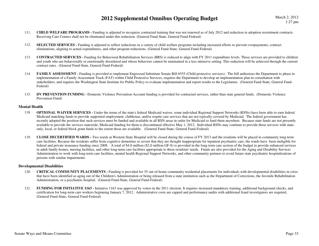- 111.**CHILD WELFARE PROGRAMS** - Funding is adjusted to recognize contracted training that was not renewed as of July 2012 and reduction in adoption recruitment contracts. Receiving Care Centers shall not be eliminated under this reduction. (General Fund-State, General Fund-Federal)
- 112.**SELECTED SERVICES** - Funding is adjusted to reflect reductions in a variety of child welfare programs including increased efforts to prevent overpayments, contract eliminations, aligning to actual expenditures, and other program reductions. (General Fund-State, General Fund-Federal)
- 113. **CONTRACTED SERVICES -** Funding for Behavioral Rehabilitation Services (BRS) is reduced to align with FY 2011 expenditure levels. These services are provided to children and youth who are behaviorally or emotionally disordered and whose behaviors cannot be maintained in a less intensive setting. This reduction will be achieved through the current contract rates. (General Fund-State, General Fund-Federal)
- 114.**FAMILY ASSESSMENT** - Funding is provided to implement Engrossed Substitute Senate Bill 6555 (Child protective services). The bill authorizes the Department to phase in implementation of a Family Assessment Track (FAT) within Child Protective Services, requires the Department to develop an implementation plan in consultation with stakeholders, and requires the Washington State Institute for Public Policy to evaluate implementation and report results to the Legislature. (General Fund-State, General Fund-Federal)
- 115. **DV PREVENTION FUNDING -** Domestic Violence Prevention Account funding is provided for contracted services, rather than state general funds. (Domestic Violence Prevention Fund)

#### **Mental Health**

- 118. **OPTIONAL WAIVER SERVICES -** Under the terms of the state's federal Medicaid waiver, some individual Regional Support Networks (RSNs) have been able to earn federal Medicaid matching funds to provide supported employment, clubhouse, and/or respite care services that are not typically covered by Medicaid. The federal government has recently adopted the position that such services must be funded and available in all RSN areas in order for Medicaid to fund them anywhere. Because state funds are not presently available to provide the services statewide, Medicaid funding for them is discontinued effective May 1, 2012. Individual RSNs may continue to provide these services with stateonly, local, or federal block grant funds to the extent those are available. (General Fund-State, General Fund-Federal)
- 119. **CLOSE DECERTIFIED WARDS -** Two wards at Western State Hospital will be closed during the course of FY 2013 and the residents will be placed in community long-term care facilities. Because the residents suffer from cognitive dementias so severe that they are thought inappropriate for inpatient psychiatric care, the wards have been ineligible for federal and private insurance funding since 2008. A total of \$4.0 million (\$2.0 million GF-S) is provided in the long-term care section of the budget to provide enhanced services in adult family homes, nursing facilities, and other long-term care facilities appropriate to these residents' needs. Funds are also provided for the Aging and Disability Services Administration to work with long-term care facilities, mental health Regional Support Networks, and other community partners to avoid future state psychiatric hospitalizations of persons with similar impairments.

#### **Developmental Disabilities**

- 120. **CRITICAL COMMUNITY PLACEMENTS -** Funding is provided for 35 out-of-home community residential placements for individuals with developmental disabilities in crisis that have been identified as aging out of the Children's Administration or being released from a state institution such as the Department of Corrections, the Juvenile Rehabilitation Administration, or a psychiatric hospital. (General Fund-State, General Fund-Federal)
- 121. **FUNDING FOR INITIATIVE 1163 -** Initiative 1163 was approved by voters in the 2011 election. It requires increased mandatory training, additional background checks, and certification for long-term care workers beginning January 7, 2012. Administrative costs are capped and performance audits with additional fraud investigators are required. (General Fund-State, General Fund-Federal)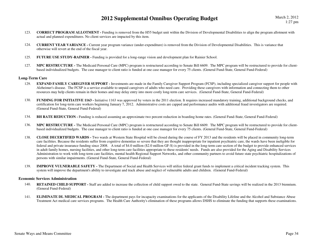- 123. **CORRECT PROGRAM ALLOTMENT -** Funding is removed from the H55 budget unit within the Division of Developmental Disabilities to align the program allotment with actual and planned expenditures. No client services are impacted by this item.
- 124. **CURRENT YEAR VARIANCE -** Current year program variance (under-expenditure) is removed from the Division of Developmental Disabilities. This is variance that otherwise will revert at the end of the fiscal year.
- 125.**FUTURE USE STUDY-RAINIER -** Funding is provided for a long-range vision and development plan for Rainier School.
- 127. **MPC RESTRUCTURE -** The Medicaid Personal Care (MPC) program is restructured according to Senate Bill 6609. The MPC program will be restructured to provide for clientbased individualized budgets. The case manager to client ratio is funded at one case manager for every 75 clients. (General Fund-State, General Fund-Federal)

#### **Long-Term Care**

- 129.**EXPAND FAMILY CAREGIVER SUPPORT** - Investments are made in the Family Caregiver Support Program (FCSP), including specialized caregiver support for people with Alzheimer's disease. The FCSP is a service available to unpaid caregivers of adults who need care. Providing these caregivers with information and connecting them to other resources may help clients remain in their homes and may delay entry into more costly long-term care services. (General Fund-State, General Fund-Federal)
- 130.**FUNDING FOR INITIATIVE 1163** - Initiative 1163 was approved by voters in the 2011 election. It requires increased mandatory training, additional background checks, and certification for long-term care workers beginning January 7, 2012. Administrative costs are capped and performance audits with additional fraud investigators are required. (General Fund-State, General Fund-Federal)
- 134.**BH RATE REDUCTION - Funding is reduced assuming an approximate two percent reduction in boarding home rates. (General Fund-State, General Fund-Federal)**
- 136. **MPC RESTRUCTURE -** The Medicaid Personal Care (MPC) program is restructured according to Senate Bill 6609. The MPC program will be restructured to provide for clientbased individualized budgets. The case manager to client ratio is funded at one case manager for every 75 clients. (General Fund-State, General Fund-Federal)
- 138. **CLOSE DECERTIFIED WARDS -** Two wards at Western State Hospital will be closed during the course of FY 2013 and the residents will be placed in community long-term care facilities. Because the residents suffer from cognitive dementias so severe that they are thought inappropriate for inpatient psychiatric care, the wards have been ineligible for federal and private insurance funding since 2008. A total of \$4.0 million (\$2.0 million GF-S) is provided in the long-term care section of the budget to provide enhanced services in adult family homes, nursing facilities, and other long-term care facilities appropriate to these residents' needs. Funds are also provided for the Aging and Disability Services Administration to work with long-term care facilities, mental health Regional Support Networks, and other community partners to avoid future state psychiatric hospitalizations of persons with similar impairments. (General Fund-State, General Fund-Federal)
- 139. **IMPROVE VULNERABLE SAFETY -** The Department of Social and Health Services will utilize federal grant funds to implement a critical incident tracking system. This system will improve the department's ability to investigate and track abuse and neglect of vulnerable adults and children. (General Fund-Federal)

#### **Economic Services Administration**

- 140. **RETAINED CHILD SUPPORT -** Staff are added to increase the collection of child support owed to the state. General Fund-State savings will be realized in the 2013 biennium. (General Fund-Federal)
- 141.**ELIMINATE DL MEDICAL PROGRAM -** The department pays for incapacity examinations for the applicants of the Disability Lifeline and the Alcohol and Substance Abuse Treatment Act medical care services programs. The Health Care Authority's elimination of these programs allows DSHS to eliminate the funding that supports these examinations.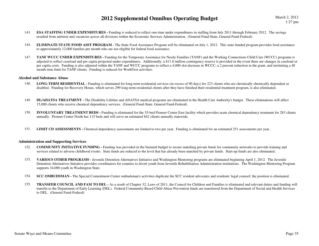- 143.**ESA STAFFING UNDER EXPENDITURES** - Funding is reduced to reflect one-time under expenditures in staffing from July 2011 through February 2012. The savings resulted from attrition and vacancies across all divisions within the Economic Services Administration. (General Fund-State, General Fund-Federal)
- 144.**ELIMINATE STATE FOOD ASST PROGRAM -** The State Food Assistance Program will be eliminated on July 1, 2012. This state-funded program provides food assistance to approximately 12,000 families per month who are not eligible for federal food assistance.
- 147.**TANF WCCC UNDER EXPENDITURES -** Funding for the Temporary Assistance for Needy Families (TANF) and the Working Connections Child Care (WCCC) programs is adjusted to reflect caseload and per capita projected under expenditures. Additionally, a \$11.8 million contingency reserve is provided in the event there are changes in caseload or per capita costs. Funding is also adjusted within the TANF and WCCC programs to reflect a 4,000 slot decrease in WCCC, a 2 percent reduction in the grant, and instituting a 48 month time limit for TANF clients. Funding is reduced for WorkFirst activities.

#### **Alcohol and Substance Abuse**

- 148. **LONG-TERM RESIDENTIAL -** Funding is eliminated for long-term residential services (in excess of 90 days) for 223 clients who are chronically chemically dependent or disabled. Funding for Recovery House, which serves 299 long-term residential clients after they have finished their residential treatment program, is also eliminated.
- 149. **DL/ADATSA TREATMENT -** The Disability Lifeline and ADATSA medical programs are eliminated in the Health Care Authority's budget. These eliminations will affect 15,000 clients who receive chemical dependency services. (General Fund-State, General Fund-Federal)
- 150. **INVOLUNTARY TREATMENT BEDS -** Funding is eliminated for the 35-bed Pioneer Center East facility which provides acute chemical dependency treatment for 283 clients annually. Pioneer Center North has 115 beds and will serve an estimated 842 clients annually statewide.
- 151.LIMIT CD ASSESSMENTS - Chemical dependency assessments are limited to two per year. Funding is eliminated for an estimated 251 assessments per year.

#### **Administration and Supporting Services**

- 152. **COMMUNITY INITIATIVE FUNDING -** Funding was provided in the biennial budget to secure matching private funds for community networks to provide training and services related to adverse childhood events. State funds are reduced to the level that has already been matched by private funds. Start-up funds are also eliminated.
- 153. **VARIOUS OTHER PROGRAMS -** Juvenile Detention Alternatives Initiative and Washington Mentoring programs are eliminated beginning April 1, 2012. The Juvenile Detention Alternatives Initiative provides coordinators for counties to divert youth from Juvenile Rehabilitation Administration institutions. The Washington Mentoring Program supports 34,000 youth in Washington State.
- 154.**SCC OMBUDSMAN -** The Special Commitment Center ombudsman's activities duplicate the SCC resident advocates and residents' legal counsel; the position is eliminated.
- 155. **TRANSFER COUNCIL AND FAM TO DEL -** As a result of Chapter 32, Laws of 2011, the Council for Children and Families is eliminated and relevant duties and funding will transfer to the Department of Early Learning (DEL). Federal Community-Based Child Abuse Prevention funds are transferred from the Department of Social and Health Services to DEL. (General Fund-Federal)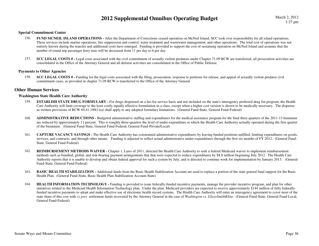#### **Special Commitment Center**

- 156. **FUND MCNEIL ISLAND OPERATIONS -** After the Department of Corrections ceased operation on McNeil Island, SCC took over responsibility for all island operations. These services include marine operations, fire suppression and control, water treatment and wastewater management, and other operations. The total cost of operations was not entirely known during the transfer and additional costs have emerged. Funding is provided to support the cost of sustaining operation on McNeil Island and assumes that the number of round trip passenger ferry runs will be decreased from 11 per day to 6 per day.
- 157. **SCC LEGAL COSTS # -** Legal costs associated with the civil commitment of sexually violent predators under Chapter 71.09 RCW are transferred; all prosecution activities are consolidated in the Office of the Attorney General and all defense activities are consolidated in the Office of Public Defense.

#### **Payments to Other Agencies**

158.**SCC LEGAL COSTS #** - Funding for the legal costs associated with the filing, prosecution, response to petitions for release, and appeal of sexually violent predator civil commitment cases, as provided in chapter 71.09 RCW is transferred to the Office of the Attorney General.

#### **Other Human Services**

#### **Washington State Health Care Authority**

- 159.**ESTABLISH STATE DRUG FORMULARY** - For drugs dispensed on a fee-for-service basis and not included on the state's interagency preferred drug list program, the Health Care Authority will limit coverage to the least costly equally effective formulation in a class, except when a higher cost version is shown to be medically necessary. The dispenseas-written provisions of RCW 69.41.190(1)(a) shall apply to any adopted formulary limitations. (General Fund-State, General Fund-Federal)
- 160. **ADMINISTRATIVE REDUCTIONS -** Budgeted administrative staffing and expenditures for the medical assistance program for the final three quarters of the 2011-13 biennium are reduced by approximately 11 percent. This is roughly three-quarters the level of under-expenditure at which the Health Care Authority actually operated during the first quarter of the biennium. (General Fund-State, General Fund-Federal, General Fund-Private/Local)
- 161. **CAPTURE VACANCY SAVINGS -** The Health Care Authority has constrained administrative expenditures by leaving funded positions unfilled; limiting expenditures on goods, services, and contracts; and through other means. Funding is adjusted to reflect actual administrative under-expenditures through the first six months of FY 2012. (General Fund-State, General Fund-Federal)
- 162.**REIMBURSEMENT METHODS WAIVER -** Chapter 1, Laws of 2011, directed the Health Care Authority to seek a federal Medicaid waiver to implement reimbursement methods such as bundled, global, and risk-bearing payment arrangements that that were expected to reduce expenditures by \$8.8 million beginning July 2012. The Health Care Authority reports that it is unable to develop and obtain federal approval for such a system by July, and is directed to continue work for implementation by January 2013. (General Fund-State, General Fund-Federal)
- 163.**BASIC HEALTH STABILIZATION -** Additional funds from the Basic Health Stabilization Account are used to replace a portion of the state general fund support for the Basic Health Plan. (General Fund-State, Basic Health Plan Stabilization Account-State)
- 164.**HEALTH INFORMATION TECHNOLOGY** - Funding is provided to issue federally-funded incentive payments, manage the provider incentive program, and plan for other initiatives related to the Medicaid Health Information Technology plan. Under the plan, Medicaid providers are expected to receive approximately \$144 million of fully federallyfunded incentive payments to adopt and make effective use of electronic health record systems. The Health Care Authority will enter an interagency agreement to cover most of the state share of this cost wtih *cy pres* settlement funds recovered by the Attorney General in the case of *Washington vs. GlaxoSmithKline*. (General Fund-State, General Fund-Local, General Fund-Federal)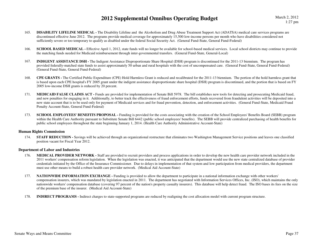- 165. **DISABILITY LIFELINE MEDICAL -** The Disability Lifeline and the Alcoholism and Drug Abuse Treatment Support Act (ADATSA) medical care services programs are discontinued effective June 2012. The programs provide medical coverage for approximately 15,500 low-income persons per month who have disabilities considered not sufficiently severe or too temporary to qualify as disabled under the federal Social Security Act. (General Fund-State, General Fund-Federal)
- 166.**SCHOOL BASED MEDICAL -** Effective April 1, 2012, state funds will no longer be available for school-based medical services. Local school districts may continue to provide the matching funds needed for Medicaid reimbursement through inter-governmental transfers. (General Fund-State, General-Local)
- 167. **INDIGENT ASSISTANCE DSH -** The Indigent Assistance Disproportionate Share Hospital (DSH) program is discontinued for the 2011-13 biennium. The program has provided federally-matched state funds to assist approximately 50 urban and rural hospitals with the cost of uncompensated care. (General Fund-State, General Fund-Federal) (General Fund-State, General Fund-Federal)
- 168. **CPE GRANTS -** The Certified Public Expenditure (CPE) Hold Harmless Grant is reduced and recalibrated for the 2011-13 biennium. The portion of the hold harmless grant that is based upon each CPE hospital's FY 2005 grant under the indigent assistance disproportionate share hospital (DSH) program is discontinued, and the portion that is based on FY 2005 low-income DSH grants is reduced by 20 percent.
- 171.**MEDICAID FALSE CLAIMS ACT** - Funds are provided for implementation of Senate Bill 5978. The bill establishes new tools for detecting and prosecuting Medicaid fraud, and new penalties for engaging in it. Additionally, to better track the effectiveness of fraud enforcement efforts, funds recovered from fraudulent activities will be deposited into a new state account that is to be used only for payment of Medicaid services and for fraud prevention, detection, and enforcement activities. (General Fund-State, Medicaid Fraud Penalty Account-State, General Fund-Federal)
- 173.**SCHOOL EMPLOYEES' BENEFITS PROPOSAL -** Funding is provided for the costs associating with the creation of the School Employees' Benefits Board (SEBB) program within the Health Care Authority pursuant to Substitute Senate Bill 6442 (public school employees' benefits). The SEBB will provide centralized purchasing of health benefits for public school employees throughout the state beginning January 1, 2014. (Health Care Authority Administrative Account-State)

#### **Human Rights Commission**

174. **STAFF REDUCTION -** Savings will be achieved through an organizational restructure that eliminates two Washington Management Service positions and leaves one classified position vacant for Fiscal Year 2012.

#### **Department of Labor and Industries**

- 176. **MEDICAL PROVIDER NETWORK -** Staff are provided to recruit providers and process applications in order to develop the new health care provider network included in the 2011 workers' compensation reform legislation. When the legislation was enacted, it was anticipated that the department would use the new state centralized database of provider credentials initiated by the Office of the Insurance Commissioner. Due to delays in implementation of that system and low participation from medical providers, the department must use other means to build a robust health care provider network. (Medical Aid Account-State)
- 177. **NATIONWIDE INFORMATION EXCHANGE -** Funding is provided to allow the department to participate in a national information exchange with other workers' compensation insurers, which was mandated by legislation enacted in 2011. The department has negotiated with Information Services Offices, Inc. (ISO), which maintains the only nationwide workers' compensation database (covering 97 percent of the nation's property casualty insurers). This database will help detect fraud. The ISO bases its fees on the size of the premium base of the insurer. (Medical Aid Account-State)
- 178.**INDIRECT PROGRAMS -** Indirect charges to state-supported programs are reduced by realigning the cost allocation model with current program structure.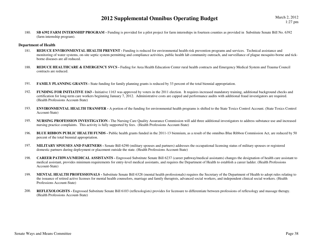180.**SB 6392 FARM INTERNSHIP PROGRAM -** Funding is provided for a pilot project for farm internships in fourteen counties as provided in Substitute Senate Bill No. 6392 (farm internship program).

#### **Department of Health**

- **REDUCE ENVIRONMENTAL HEALTH PREVENT** Funding is reduced for environmental health risk prevention programs and services. Technical assistance and 181. monitoring of water systems, on-site septic system permitting and compliance activities, public health lab community outreach, and surveillance of plague mosquito-borne and tickborne diseases are all reduced.
- 188.REDUCE HEALTHCARE & EMERGENCY SVCS - Fuding for Area Health Education Center rural health contracts and Emergency Medical System and Trauma Council contracts are reduced.
- 191.**FAMILY PLANNING GRANTS -** State funding for family planning grants is reduced by 33 percent of the total biennial appropriation.
- 192.**FUNDING FOR INITIATIVE 1163** - Initiative 1163 was approved by voters in the 2011 election. It requires increased mandatory training, additional background checks and certification for long-term care workers beginning January 7, 2012. Administrative costs are capped and performance audits with additional fraud investigators are required. (Health Professions Account-State)
- 193. **ENVIRONMENTAL HEALTH TRANSFER -** A portion of the funding for environmental health programs is shifted to the State Toxics Control Account. (State Toxics Control Account-State)
- 195. **NURSING PROFESSION INVESTIGATION -** The Nursing Care Quality Assurance Commission will add three additional investigators to address substance use and increased nursing practice complaints. This activity is fully supported by fees. (Health Professions Account-State)
- 196.**BLUE RIBBON PUBLIC HEALTH FUNDS** - Public health grants funded in the 2011-13 biennium, as a result of the omnibus Blue Ribbon Commission Act, are reduced by 50 percent of the total biennial appropriation.
- 197. **MILITARY SPOUSES AND PARTNERS -** Senate Bill 6290 (military spouses and partners) addresses the occupational licensing status of military spouses or registered domestic partners during deployment or placement outside the state. (Health Professions Account-State)
- 198. **CAREER PATHWAY/MEDICAL ASSISTANTS -** Engrossed Substitute Senate Bill 6237 (career pathway/medical assistants) changes the designation of health care assistant to medical assistant, provides minimum requirements for entry-level medical assistants, and requires the Department of Health to establish a career ladder. (Health Professions Account-State)
- 199. **MENTAL HEALTH PROFESSIONALS -** Substitute Senate Bill 6328 (mental health professionals) requires the Secretary of the Department of Health to adopt rules relating to the issuance of retired active licenses for mental health counselors, marriage and family therapists, advanced social workers, and independent clinical social workers. (Health Professions Account-State)
- 200. **REFLEXOLOGISTS -** Engrossed Substitute Senate Bill 6103 (reflexologists) provides for licensure to differentiate between professions of reflexology and massage therapy. (Health Professions Account-State)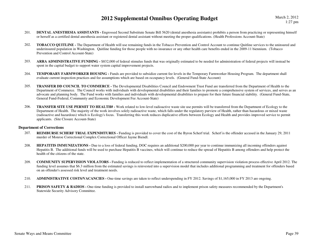- 201.**DENTAL ANESTHESIA ASSISTANTS** - Engrossed Second Substitute Senate Bill 5620 (dental anesthesia assistants) prohibits a person from practicing or representing himself or herself as a certified dental anesthesia assistant or registered dental assistant without meeting the proper qualifications. (Health Professions Account-State)
- 202. **TOBACCO QUITLINE -** The Department of Health will use remaining funds in the Tobacco Prevention and Control Account to continue Quitline services to the uninsured and underinsured population in Washington. Quitline funding for those people with no insurance or any other health care benefits ended in the 2009-11 biennium. (Tobacco Prevention and Control Account-State)
- 203.ARRA ADMINISTRATIVE FUNDING - \$832,000 of federal stimulus funds that was originally estimated to be needed for administration of federal projects will instead be spent in the capital budget to support water system capital improvement projects.
- 204. **TEMPORARY FARMWORKER HOUSING -** Funds are provided to subsidize current fee levels in the Temporary Farmworker Housing Program. The department shall evaluate current inspection practices and fee assumptions which are based on occupancy levels. (General Fund-State Account)
- 205. **TRANSFER DD COUNCIL TO COMMERCE -** The Developmental Disabilities Council and Endowment Trust Fund are transferred from the Department of Health to the Department of Commerce. The Council works with individuals with developmental disabilities and their families to promote a comprehensive system of services, and serves as an advocate and planning body. The Fund works with families and individuals with developmental disabilities to prepare for their future financial stability. (General Fund-State, General Fund-Federal, Community and Economic Development Fee Account-State)
- 206. **TRANSFER SITE USE PERMIT TO HEALTH# -** Work related to low-level radioactive waste site use permits will be transferred from the Department of Ecology to the Department of Health. The majority of the work involves solely radioactive waste, which falls under the regulatory purview of Health, rather than hazardous or mixed waste (radioactive and hazardous) which is Ecology's focus. Transferring this work reduces duplicative efforts between Ecology and Health and provides improved service to permit applicants. (Site Closure Account-State)

#### **Department of Corrections**

- 207. **REIMBURSE SCHERF TRIAL EXPENDITURES -** Funding is provided to cover the cost of the Byron Scherf trial. Scherf is the offender accused in the January 29, 2011 murder of Monroe Correctional Complex Correctional Officer Jayme Biendl.
- 208.**HEPATITIS IMMUNIZATIONS -** Due to a loss of federal funding, DOC requires an additional \$200,000 per year to continue immunizing all incoming offenders against Hepatitis B. The additional funds will be used to purchase Hepatitis B vaccines, which will continue to reduce the spread of Hepatitis B among offenders and help protect the health of the citizens of the state.
- 209. **COMMUNITY SUPERVISION VIOLATORS -** Funding is reduced to reflect implementation of a structured community supervision violation process effective April 2012. The funding level assumes that \$6.3 million from the estimated savings is reinvested into a supervision model that includes additional programming and treatment for offenders based on an offender's assessed risk level and treatment needs.
- 210.**ADMINISTRATIVE COSTS/VACANCIES -** One-time savings are taken to reflect underspending in FY 2012. Savings of \$1,165,000 in FY 2013 are ongoing.
- 211.**PRISON SAFETY & RADIOS** - One-time funding is provided to install narrowband radios and to implement prison safety measures recommended by the Department's Statewide Security Advisory Committee.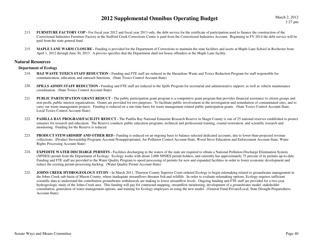March 2, 20121:27 pm

- 213.**FURNITURE FACTORY COP** - For fiscal year 2012 and fiscal year 2013 only, the debt service for the certificate of participation used to finance the construction of the Correctional Industries Furniture Factory at the Stafford Creek Corrections Center is paid from the Correctional Industries Account. Beginning in FY 2014 the debt service will be paid from the state general fund.
- 215. **MAPLE LANE WARM CLOSURE -** Funding is provided for the Department of Corrections to maintain the state facilities and assets at Maple Lane School in Rochester from April 1, 2012 through June 30, 2013. A proviso specifies that the Department shall not house offenders at the Maple Lane facility.

#### **Natural Resources**

#### **Department of Ecology**

- 219.**HAZ WASTE TOXICS STAFF REDUCTION - Funding and FTE staff are reduced in the Hazardous Waste and Toxics Reduction Program for staff responsible for** communication, education, and outreach functions. (State Toxics Control Account-State)
- 220.**SPILLS ADMIN STAFF REDUCTION -** Funding and FTE staff are reduced in the Spills Program for secretarial and administrative support, as well as vehicle maintenance coordination. (State Toxics Control Account-State)
- 221.**PUBLIC PARTICIPATION GRANT REDUCT** - The public participation grant program is a competitive grant program that provides financial assistance to citizen groups and non-profit, public-interest organizations. Grants are provided for two purposes: To facilitate public involvement in the investigation and remediation of contaminated sites; and to carry out waste management projects. Funding is reduced on a one-time basis for waste management related public participation grants. (State Toxics Control Account-State, Local Toxics Control Account-State)
- 222.**PADILLA BAY PROGRAM/FACILITY REDUCT** - The Padilla Bay National Estuarine Research Reserve in Skagit County is one of 25 national reserves established to protect estuaries for research and education. The Reserve conducts public education programs, technical and professional training, coastal restoration, and scientific research and monitoring. Funding for the Reserve is reduced.
- 223.**PRODUCT STEWARDSHIP AND OTHER RED -** Funding is reduced on an ongoing basis to balance selected dedicated accounts, due to lower-than-projected revenue collections. (Product Stewardship Programs Account-Nonappropriated, Air Pollution Control Account-State, Wood Stove Education and Enforcement Account-State, Water Rights Processing Account-State)
- 224.**EXPEDITE WATER DISCHARGE PERMITS -** Facilities discharging to the waters of the state are required to obtain a National Pollution Discharge Elimination System (NPDES) permit from the Department of Ecology. Ecology works with about 2,000 NPDES permit holders, and currently has approximately 75 percent of its permits up-to-date. Funding and FTE staff are provided to the Water Quality Program to speed processing of permits for new and expanded facilities in order to foster economic development and reduce the existing permit-processing backlog. (Water Quality Permit Account-State)
- 225.**JOHNS CREEK HYDROGEOLOGY STUDY - In March 2011, Thurston County Superior Court ordered Ecology to begin rulemaking related to groundwater management in** the Johns Creek sub-basin of Mason County, where inadequate streamflows threaten fish and wildlife. In order to evaluate rulemaking options, Ecology requires sufficient scientific data to understand the contribution groundwater withdrawals are making to lower streamflow levels. Ongoing funding and FTE staff are provided for a two-year hydrogeologic study of the Johns Creek area. This funding will pay for contracted mapping, streamflow monitoring, development of a groundwater model, stakeholder consultation, generation of water-management options, and training for Ecology employees in using the new model. (General Fund-Private/Local, State Drought Preparedness Account-State)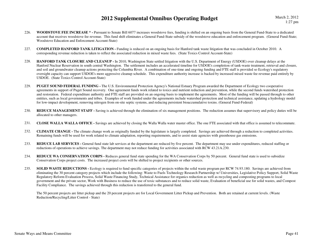- 226. **WOODSTOVE FEE INCREASE \* -** Pursuant to Senate Bill 6077 increases woodstove fees, funding is shifted on an ongoing basis from the General Fund-State to a dedicated account that receives woodstove fee revenue. This fund shift eliminates a General Fund-State subsidy of the woodstove education and enforcement program. (General Fund-State; Woodstove Education and Enforcement Account-State)
- 227. **COMPLETED HANFORD TANK LITIGATION -** Funding is reduced on an ongoing basis for Hanford tank waste litigation that was concluded in October 2010. A corresponding revenue reduction is taken to reflect the associated reduction in mixed waste fees. (State Toxics Control Account-State)
- 228. **HANFORD TANK CLOSURE AND CLEANUP -** In 2010, Washington State settled litigation with the U.S. Department of Energy (USDOE) over cleanup delays at the Hanford Nuclear Reservation in south central Washington. The settlement includes an accelerated timeline for USDOE's completion of tank-waste treatment, retrieval and closure, and soil and groundwater cleanup actions protecting the Columbia River. A combination of one-time and ongoing funding and FTE staff is provided so Ecology's regulatory oversight capacity can support USDOE's more aggressive cleanup schedule. This expenditure authority increase is backed by increased mixed waste fee revenue paid entirely by USDOE. (State Toxics Control Account-State)
- 229. **PUGET SOUND FEDERAL FUNDING -** The U.S. Environmental Protection Agency's National Estuary Program awarded the Department of Ecology two cooperative agreements in support of Puget Sound recovery. One agreement funds work related to toxics and nutrient reduction and prevention, while the second funds watershed protection and restoration. Federal expenditure authority and FTE staff are provided on an ongoing basis to implement the agreements. Most of the funding will be passed through to other entities, such as local governments and tribes. Examples of work funded under the agreements include watershed protection and technical assistance, updating a hydrology model for low-impact development, removing nitrogen from on-site septic systems, and reducing persistent bioaccumulative toxins. (General Fund-Federal)
- 230.**REDUCE MANAGEMENT STAFF** - Saving is achieved through the elimination of six management positions. The reduction assumes that supervisory and policy duties will be allocated to other managers.
- 231.**CLOSE WALLA WALLA OFFICE -** Savings are achieved by closing the Walla Walla water master office. The one FTE associated with that office is assumed to telecommute.
- 232. **CLIMATE CHANGE -** The climate change work as originally funded by the legislature is largely completed. Savings are achieved through a reduction to completed activities. Remaining funds will be used for work related to climate adaptation, reporting requirements, and to assist state agencies with greenhouse gas emissions.
- 233.**REDUCE LAB SERVICES** - General fund state lab services at the department are reduced by five percent. The department may use under expenditures, reduced staffing or reductions of operations to achieve savings. The department may not reduce funding for activities associated with RCW 43.21A.230.
- 234. **REDUCE WA CONSERVATION CORPS -** Reduces general fund state spending for the WA Conservation Corps by 50 percent. General fund state is used to subsidize Conservation Corps project costs. The increased project costs will be shifted to project recipients or other sources.
- 235.**SOLID WASTE REDUCTIONS -** Ecology is required to fund specific categories of projects within the solid waste program per RCW 74.93.180. Savings are achieved from eliminating the 30 percent category projects which include the following: Waste to Fuels Technology Research Partnership w/ Universities, Legislative Policy Support, Solid WasteRegulatory Reform Evaluation Process, Solid Waste Financing Study, Technical Assistance for organics reduction as well as recycling and composting programs to local government and the private sector, Work with Business to reduce the use of toxic substances and to reduce solid waste, Evaluation of beneficial use for solid wastes, and Compost Facility Compliance. The savings achieved through this reduction is transferred to the general fund.

The 50 percent projects are litter pickup and the 20 percent projects are for Local Government Litter Pickup and Prevention. Both are retained at current levels. (Waste Reduction/Recycling/Litter Control - State)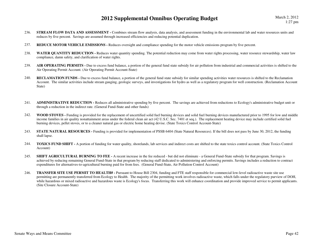- 236.**STREAM FLOW DATA AND ASSESSMENT** - Combines stream flow analysis, data analysis, and assessment funding in the environmental lab and water resources units and reduces by five percent. Savings are assumed through increased efficiencies and reducing potential duplication.
- 237.**REDUCE MOTOR VEHICLE EMISSIONS -** Reduces oversight and compliance spending for the motor vehicle emissions program by five percent.
- 238.**WATER QUANTITY REDUCTION -** Reduces water quantity spending. The potential reduction may come from water rights processing, water resource stewardship, water law compliance, damn safety, and clarification of water rights.
- 239.AIR OPERATING PERMITS - Due to excess fund balance, a portion of the general fund state subsidy for air pollution from industrial and commercial activities is shifted to the Air Operating Permit Account. (Air Operating Permit Account-State)
- 240.**RECLAMATION FUNDS** - Due to excess fund balance, a portion of the general fund state subsidy for similar spending activities water resources is shifted to the Reclamation Account. The similar activities include stream gauging, geologic surveys, and investigations for hydro as well as a regulatory program for well construction. (Reclamation Account State)
- 241.**ADMINISTRATIVE REDUCTION -** Reduces all administrative spending by five percent. The savings are achieved from reductions to Ecology's administrative budget unit or through a reduction in the indirect rate. (General Fund-State and other funds)
- 242. **WOOD STOVES -** Funding is provided for the replacement of uncertified solid fuel burning devices and solid fuel burning devices manufactured prior to 1995 for low and middle income families in air quality nonattainment areas under the federal clean air act (42 U.S.C. Sec. 7401 et seq.). The replacement heating device may include certified solid fuel burning devices, pellet stoves, or to a cleaner natural gas or electric home heating devise. (State Toxics Control Account-State)
- 243.**STATE NATURAL RESOURCES** - Funding is provided for implementation of PSSB 6404 (State Natural Resources). If the bill does not pass by June 30, 2012, the funding shall lapse.
- 244. **TOXICS FUND SHIFT -** A portion of funding for water quality, shorelands, lab services and indirect costs are shifted to the state toxics control account. (State Toxics Control Account)
- 245.**SHIFT AGRICULTURAL BURNING TO FEE -** A recent increase in the fee reduced - but did not eliminate - a General Fund-State subsidy for that program. Savings is achieved by reducing remaining General Fund-State in that program by reducing staff dedicated to administering and enforcing permits. Savings includes a reduction to contract expenditures for alternatives-to-agricultural burning paid for from fees. (General Fund-State, Air Pollution Control Account)
- 246. **TRANSFER SITE USE PERMIT TO HEALTH# -** Pursuant to House Bill 2304, funding and FTE staff responsible for commercial low-level radioactive waste site use permitting are permanently transferred from Ecology to Health. The majority of the permitting work involves radioactive waste, which falls under the regulatory purview of DOH, while hazardous or mixed radioactive and hazardous waste is Ecology's focus. Transferring this work will enhance coordination and provide improved service to permit applicants. (Site Closure Account-State)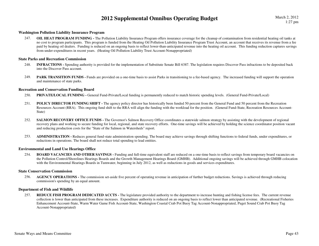#### **Washington Pollution Liability Insurance Program**

 **OIL HEAT PROGRAM FUNDING -** The Pollution Liability Insurance Program offers insurance coverage for the cleanup of contamination from residential heating oil tanks at 247. no cost to program participants. This program is funded from the Heating Oil Pollution Liability Insurance Program Trust Account, an account that receives its revenue from a fee paid by heating oil dealers. Funding is reduced on an ongoing basis to reflect lower-than-anticipated revenue into the heating oil account. This funding reduction captures savings from under-expenditures in recent years. (Heating Oil Pollution Liability Trust Account-Nonappropriated)

#### **State Parks and Recreation Commission**

- 248. **INFRACTIONS -** Spending authority is provided for the implementation of Substitute Senate Bill 6387. The legislation requires Discover Pass infractions to be deposited back into the Discover Pass account.
- 249.**PARK TRANSITION FUNDS** - Funds are provided on a one-time basis to assist Parks in transitioning to a fee-based agency. The increased funding will support the operation and maintenance of state parks.

#### **Recreation and Conservation Funding Board**

- PRIVATE/LOCAL FUNDING General Fund-Private/Local funding is permanently reduced to match historic spending levels. (General Fund-Private/Local) 250.
- 251.**POLICY DIRECTOR FUNDING SHIFT** - The agency policy director has historically been funded 50 percent from the General Fund and 50 percent from the Recreation Resources Account (RRA). This ongoing fund shift to the RRA will align the funding with the workload for the position. (General Fund-State, Recreation Resources Account-State)
- 252.**SALMON RECOVERY OFFICE FUNDS -** The Governor's Salmon Recovery Office coordinates a statewide salmon strategy by assisting with the development of regional recovery plans and working to secure funding for local, regional, and state recovery efforts. One-time savings will be achieved by holding the science coordinator position vacant and reducing production costs for the "State of the Salmon in Watersheds" report.
- 253. **ADMINISTRATION -** Reduces general fund-state administration spending. The board may achieve savings through shifting functions to federal funds, under expenditures, or reductions in operations. The board shall not reduce total spending to lead entities.

#### **Environmental and Land Use Hearings Office**

254.**BOARD VACANCIES AND OTHER SAVINGS** - Funding and full-time equivalent staff are reduced on a one-time basis to reflect savings from temporary board vacancies on the Pollution Control/Shorelines Hearings Boards and the Growth Management Hearings Board (GMHB). Additional ongoing savings will be achieved through GMHB colocation with the Environmental Hearings Boards in Tumwater, beginning in July 2012, as well as reductions in goods and services expenditures.

#### **State Conservation Commission**

256.**AGENCY OPERATIONS** - The commission set-aside five percent of operating revenue in anticipation of further budget reductions. Savings is achieved through reducing commission's spending by an equal amount.

#### **Department of Fish and Wildlife**

257.**REDUCE FISH PROGRAM DEDICATED ACCTS -** The legislature provided authority to the department to increase hunting and fishing license fees. The current revenue collection is lower than anticipated from these increases. Expenditure authority is reduced on an ongoing basis to reflect lower than anticipated revenue. (Recreational Fisheries Enhancement Account-State, Warm Water Game Fish Account-State, Washington Coastal Crab Pot Buoy Tag Account-Nonappropriated, Puget Sound Crab Pot Buoy Tag Account-Nonappropriated)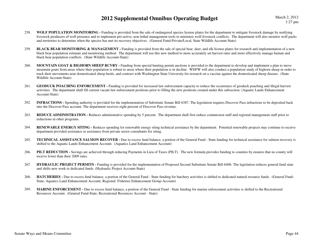- 258. **WOLF POPULATION MONITORING -** Funding is provided from the sale of endangered species license plates for the department to mitigate livestock damage by notifying livestock producers of wolf presence and to implement pro-active, non-lethal management tools to minimize wolf-livestock conflicts. The department will also monitor wolf packs and territories to determine when the species has met its recovery objectives. (General Fund-Private/Local, State Wildlife Account-State)
- 259.**BLACK BEAR MONITORING & MANAGEMENT** - Funding is provided from the sale of special bear, deer, and elk license plates for research and implementation of a new black bear population estimate and monitoring method. The department will use this new method to more accurately set harvest rates and more effectively manage human and black bear population conflicts. (State Wildlife Account-State)
- 260.**MOUNTAIN GOAT & BIGHORN SHEEP RCVRY** - Funding from special hunting permit auctions is provided to the department to develop and implement a plan to move mountain goats from areas where their population is robust to areas where their population is in decline. WDFW will also conduct a population study of bighorn sheep in order to track their movements near domesticated sheep herds, and contract with Washington State University for research on a vaccine against the domesticated sheep disease. (State Wildlife Account-State)
- 261.**GEODUCK POACHING ENFORCEMENT** - Funding is provided for increased law enforcement capacity to reduce the occurrence of geoduck poaching and illegal harvest activities. The department shall fill current vacant law enforcement positions prior to filling the new positions created under this subsection. (Aquatic Lands Enhancement Account-State)
- 262. **INFRACTIONS -** Spending authority is provided for the implementation of Substitute Senate Bill 6387. The legislation requires Discover Pass infractions to be deposited back into the Discover Pass account. The department receives eight percent of Discover Pass revenue.
- 263.**REDUCE ADMINISTRATION -** Reduces administrative spending by 5 percent. The department shall first reduce commission staff and regional management staff prior to reductions in other programs.
- 264.**RENEWABLE ENERGY SITING -** Reduces spending for renewable energy siting technical assistance by the department. Potential renewable projects may continue to receive department provided assistance or assistance from private sector consultants for siting.
- 265.**TECHNICAL ASSISTANCE SALMON RECOVER -** Due to excess fund balance, a portion of the General Fund - State funding for technical assistance for salmon recovery is shifted to the Aquatic Lands Enhancement Account. (Aquatics Land Enhancement Account)
- 266.**PILT REDUCTION -** Savings are achieved through reducing Payments in Lieu of Taxes (PILT). The new formula provides funding to counties by ensures that no county will receive lower than their 2009 rates.
- 267. **HYDRAULIC PROJECT PERMITS -** Funding is provided for the implementation of Proposed Second Substitute Senate Bill 6406. The legislation reduces general fund state and shifts new work to dedicated funds. (Hydraulic Project Account-State)
- 268.**HATCHERIES** - Due to excess fund balance, a portion of the General Fund - State funding for hatchery activities is shifted to dedicated natural resource funds. (General Fund-State, Aquatics Land Enhancement Account, Regional Fisheries Enhancement Group-Account)
- 269.**MARINE ENFORCEMENT** - Due to excess fund balance, a portion of the General Fund - State funding for marine enforcement activities is shifted to the Recreational Resources Account. (General Fund-State, Recreational Resources Account - State).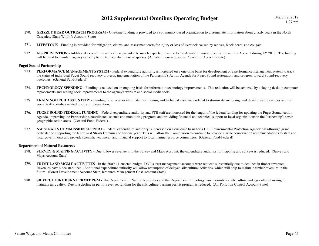- 270. **GRIZZLY BEAR OUTREACH PROGRAM** One-time funding is provided to a community-based organization to disseminate information about grizzly bears in the North Cascades. (State Wildlife Account-State)
- 271.**LIVESTOCK -** Funding is provided for mitigation, claims, and assessment costs for injury or loss of livestock caused by wolves, black bears, and cougars.
- 272. **AIS PREVENTION -** Additional expenditure authority is provided to match expected revenue to the Aquatic Invasive Species Prevention Account during FY 2013. The funding will be used to maintain agency capacity to control aquatic invasive species. (Aquatic Invasive Species Prevention Account-State)

#### **Puget Sound Partnership**

- 273.**PERFORMANCE MANAGEMENT SYSTEM - Federal expenditure authority is increased on a one-time basis for development of a performance management system to track** the status of individual Puget Sound recovery projects, implementation of the Partnership's Action Agenda for Puget Sound restoration, and progress toward Sound-recovery outcomes. (General Fund-Federal)
- 274. **TECHNOLOGY SPENDING -** Funding is reduced on an ongoing basis for information technology improvements. This reduction will be achieved by delaying desktop computer replacements and scaling back improvements to the agency's website and social media tools.
- 275. **TRAINING/TECH ASST, STUDY -** Funding is reduced or eliminated for training and technical assistance related to stormwater-reducing land development practices and for vessel traffic studies related to oil spill prevention.
- 276. **PUGET SOUND FEDERAL FUNDING -** Federal expenditure authority and FTE staff are increased for the length of the federal funding for updating the Puget Sound Action Agenda, improving the Partnership's coordinated science and monitoring program, and providing financial and technical support to local organizations in the Partnership's seven geographic action areas. (General Fund-Federal)
- 277. **NW STRAITS COMMISSION SUPPORT -** Federal expenditure authority is increased on a one-time basis for a U.S. Environmental Protection Agency pass-through grant dedicated to supporting the Northwest Straits Commission for one year. This will allow the Commission to continue to provide marine conservation recommendations to state and local governments and provide scientific, technical, and financial support to local marine resource committees. (General Fund-Federal)

#### **Department of Natural Resources**

- 278.**SURVEY & MAPPING ACTIVITY** - Due to lower revenue into the Survey and Maps Account, the expenditure authority for mapping and surveys is reduced. (Survey and Maps Account-State)
- 279. **TRUST LAND MGMT ACTIVITIES -** In the 2009-11 enacted budget, DNR's trust management accounts were reduced substantially due to declines in timber revenues. Revenues have since stabilized. Additional expenditure authority will allow resumption of delayed silvicultural activities, which will help to maintain timber revenues in the future. (Forest Development Account-State, Resource Management Cost Account-State)
- 280.**SILVICULTURE BURN PERMIT PGM -** The Department of Natural Resources and the Department of Ecology issue permits for silviculture and agriculture burning to maintain air quality. Due to a decline in permit revenue, funding for the silviculture burning permit program is reduced. (Air Pollution Control Account-State)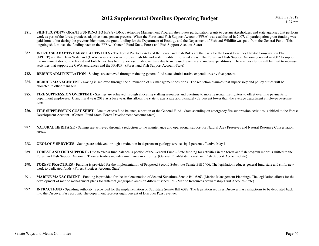- 281.**SHIFT ECY/DFW GRANT FUNDING TO FFSA -** DNR's Adaptive Management Program distributes participation grants to certain stakeholders and state agencies that perform work as part of the forest practices adaptive management process. When the Forest and Fish Support Account (FFSA) was established in 2007, all participation grant funding was paid from it, but during the previous biennium, the grant funding for the Department of Ecology and the Department of Fish and Wildlife was paid from the General Fund. This ongoing shift moves the funding back to the FFSA. (General Fund-State, Forest and Fish Support Account-State)
- 282. **INCREASE ADAPTIVE MGMT ACTIVITIES -** The Forest Practices Act and the Forest and Fish Rules are the basis for the Forest Practices Habitat Conservation Plan (FPHCP) and the Clean Water Act (CWA) assurances which protect fish life and water quality in forested areas. The Forest and Fish Support Account, created in 2007 to support the implementation of the Forest and Fish Rules, has built up excess funds over time due to increased revenue and under-expenditures. These excess funds will be used to increase activities that support the CWA assurances and the FPHCP. (Forest and Fish Support Account-State)
- 283.**REDUCE ADMINISTRATION -** Savings are achieved through reducing general fund state administrative expenditures by five percent.
- 284.**REDUCE MANAGEMENT** - Saving is achieved through the elimination of six management positions. The reduction assumes that supervisory and policy duties will be allocated to other managers.
- 285.**FIRE SUPPRESSION OVERTIME** - Savings are achieved through allocating staffing resources and overtime to more seasonal fire fighters to offset overtime payments to department employees. Using fiscal year 2012 as a base year, this allows the state to pay a rate approximately 28 percent lower than the average department employee overtime rates.
- 286. **FIRE SUPPRESSION COST SHIFT -** Due to excess fund balance, a portion of the General Fund - State spending on emergency fire suppression activities is shifted to the Forest Development Account. (General Fund-State, Forest Development Account-State)
- 287. **NATURAL HERITAGE -** Savings are achieved through a reduction to the maintenance and operational support for Natural Area Preserves and Natural Resource Conservation Areas.
- 288.**GEOLOGY SERVICES -** Savings are achieved through a reduction in department geology services by 7 percent effective May 1.
- 289.**FOREST AND FISH SUPPORT -** Due to excess fund balance, a portion of the General Fund - State funding for activities in the forest and fish program report is shifted to the Forest and Fish Support Account. These activities include compliance monitoring. (General Fund-State, Forest and Fish Support Account-State)
- 290.**FOREST PRACTICES** - Funding is provided for the implementation of Proposed Second Substitute Senate Bill 6406. The legislation reduces general fund state and shifts new work to dedicated funds. (Forest Practices Account-State)
- 291.**MARINE MANAGEMENT** - Funding is provided for the implementation of Second Substitute Senate Bill 6263 (Marine Management Planning). The legislation allows for the development of marine management plans for different geographic areas on different schedules. (Marine Resources Stewardship Trust Account-State)
- 292. **INFRACTIONS -** Spending authority is provided for the implementation of Substitute Senate Bill 6387. The legislation requires Discover Pass infractions to be deposited back into the Discover Pass account. The department receives eight percent of Discover Pass revenue.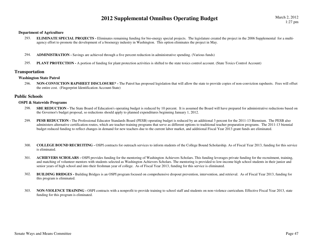#### **Department of Agriculture**

- 293. **ELIMINATE SPECIAL PROJECTS -** Eliminates remaining funding for bio-energy special projects. The legislature created the project in the 2006 Supplemental for a multiagency effort to promote the development of a bioenergy industry in Washington. This option eliminates the project in May.
- 294.**ADMINISTRATION -** Savings are achieved through a five percent reduction in administrative spending. (Various funds)
- 295.**PLANT PROTECTION -** A portion of funding for plant protection activities is shifted to the state toxics control account. (State Toxics Control Account)

#### **Transportation**

#### **Washington State Patrol**

296. **NON-CONVICTION RAPSHEET DISCLOSURE\* -** The Patrol has proposed legislation that will allow the state to provide copies of non-conviction rapsheets. Fees will offset the entire cost. (Fingerprint Identification Account-State)

#### **Public Schools**

#### **OSPI & Statewide Programs**

- 298.**SBE REDUCTION** - The State Board of Education's operating budget is reduced by 10 percent. It is assumed the Board will have prepared for administrative reductions based on the Governor's budget proposal, so reductions should apply to planned expenditures beginning January 1, 2012.
- 299.**PESB REDUCTION -** The Professional Educator Standards Board (PESB) operating budget is reduced by an additional 3 percent for the 2011-13 Biennium. The PESB also administers alternative certification routes, which are teacher-training programs that serve as different options to traditional teacher preparation programs. The 2011-13 biennial budget reduced funding to reflect changes in demand for new teachers due to the current labor market, and additional Fiscal Year 2013 grant funds are eliminated.
- 300. **COLLEGE BOUND RECRUITING -** OSPI contracts for outreach services to inform students of the College Bound Scholarship. As of Fiscal Year 2013, funding for this service is eliminated.
- 301. **ACHIEVERS SCHOLARS -** OSPI provides funding for the mentoring of Washington Achievers Scholars. This funding leverages private funding for the recruitment, training, and matching of volunteer mentors with students selected as Washington Achievers Scholars. The mentoring is provided to low-income high school students in their junior and senior years of high school and into their freshman year of college. As of Fiscal Year 2013, funding for this service is eliminated.
- 302.**BUILDING BRIDGES** - Building Bridges is an OSPI program focused on comprehensive dropout prevention, intervention, and retrieval. As of Fiscal Year 2013, funding for this program is eliminated.
- 303.**NON-VIOLENCE TRAINING - OSPI** contracts with a nonprofit to provide training to school staff and students on non-violence curriculum. Effective Fiscal Year 2013, state funding for this program is eliminated.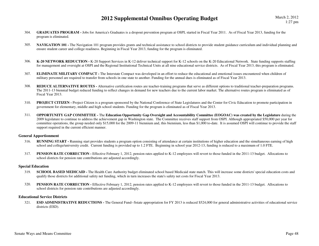- 304.**GRADUATES PROGRAM - Jobs for America's Graduates is a dropout prevention program at OSPI, started in Fiscal Year 2011. As of Fiscal Year 2013, funding for the** program is eliminated.
- 305.**NAVIGATION 101** - The Navigation 101 program provides grants and technical assistance to school districts to provide student guidance curriculum and individual planning and ensure student career and college readiness. Beginning in Fiscal Year 2013, funding for the program is eliminated.
- 306. **K-20 NETWORK REDUCTION -** K-20 Support Services in K-12 deliver technical support for K-12 schools on the K-20 Educational Network. State funding supports staffing for management and oversight at OSPI and the Regional Institutional Technical Units at all nine educational service districts. As of Fiscal Year 2013, this program is eliminated.
- 307.**ELIMINATE MILITARY COMPACT -** The Interstate Compact was developed in an effort to reduce the educational and emotional issues encountered when children of military personnel are required to transfer from schools in one state to another. Funding for the annual dues is eliminated as of Fiscal Year 2013.
- 308. **REDUCE ALTERNATIVE ROUTES -** Alternative certification routes are teacher-training programs that serve as different options to traditional teacher-preparation programs. The 2011-13 biennial budget reduced funding to reflect changes in demand for new teachers due to the current labor market. The alternative routes program is eliminated as of Fiscal Year 2013.
- 310. **PROJECT CITIZEN -** Project Citizen is a program sponsored by the National Conference of State Legislatures and the Center for Civic Education to promote participation in government for elementary, middle and high school students. Funding for the program is eliminated as of Fiscal Year 2013.
- 311. **OPPORTUNITY GAP COMMITTEE -** The **Education Opportunity Gap Oversight and Accountability Committee (EOGOAC) was created by the Legislature** during the 2009 legislature to continue to address the achievement gap in Washington state. The Committee receives staff support from OSPI. Although appropriated \$50,000 per year for committee operations, the group needed only \$15,000 for the 2009-11 biennium and, this biennium, less than \$1,000 to-date. It is assumed OSPI will continue to provide the staff support required in the current efficient manner.

#### **General Apportionment**

- 316.**RUNNING START** - Running start provides students a program option consisting of attendance at certain institutions of higher education and the simultaneous earning of high school and college/university credit. Current funding is provided up to 1.2 FTE. Beginning in school year 2012-13, funding is reduced to a maximum of 1.0 FTE.
- 317.**PENSION RATE CORRECTION -** Effective February 1, 2012, pension rates applied to K-12 employees will revert to those funded in the 2011-13 budget. Allocations to school districts for pension rate contributions are adjusted accordingly.

#### **Special Education**

- 319.**SCHOOL BASED MEDICAID -** The Health Care Authority budget eliminated school based Medicaid state match. This will increase some districts' special education costs and qualify those districts for additional safety net funding, which in turn increases the state's safety net costs for Fiscal Year 2013.
- 320.**PENSION RATE CORRECTION -** Effective February 1, 2012, pension rates applied to K-12 employees will revert to those funded in the 2011-13 budget. Allocations to school districts for pension rate contributions are adjusted accordingly.

#### **Educational Service Districts**

321.**ESD ADMINISTRATIVE REDUCTIONS -** The General Fund--Sstate appropriation for FY 2013 is reduced \$524,000 for general administrative activities of educational service districts (ESD).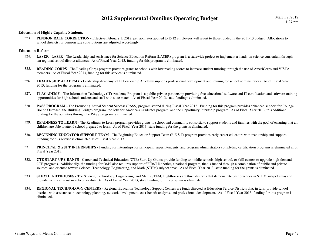#### **Education of Highly Capable Students**

323.**PENSION RATE CORRECTION -** Effective February 1, 2012, pension rates applied to K-12 employees will revert to those funded in the 2011-13 budget. Allocations to school districts for pension rate contributions are adjusted accordingly.

#### **Education Reform**

- **LASER** LASER The Leadership and Assistance for Science Education Reform (LASER) program is a statewide project to implement a hands-on science curriculum through 324.ten regional school district alliances. As of Fiscal Year 2013, funding for this program is eliminated.
- 325.**READING CORPS** - The Reading Corps program provides grants to schools with low reading scores to increase student tutoring through the use of AmeriCorps and VISTA members. As of Fiscal Year 2013, funding for this service is eliminated.
- 326.LEADERSHIP ACADEMY - Leadership Academy - The Leadership Academy supports professional development and training for school administrators. As of Fiscal Year 2013, funding for the program is eliminated.
- 327. **IT ACADEMY -** The Information Technology (IT) Academy Program is a public-private partnership providing free educational software and IT certification and software training opportunities for high school students and staff with state match. As of Fiscal Year 2013, state funding is eliminated.
- 328.**PASS PROGRAM -** The Promoting Actual Student Success (PASS) program started during Fiscal Year 2012. Funding for this program provides enhanced support for College Bound Outreach, the Building Bridges program, the Jobs for America's Graduates program, and the Opportunity Internship program. As of Fiscal Year 2013, this additional funding for the activities through the PASS program is eliminated.
- 329.**READINESS TO LEARN** - The Readiness to Learn program provides grants to school and community consortia to support students and families with the goal of ensuring that all children are able to attend school prepared to learn. As of Fiscal Year 2013, state funding for the grants is eliminated.
- 330.**BEGINNING EDUCATOR SUPPORT TEAM - The Beginning Educator Support Team (B.E.S.T) program provides early career educators with mentorship and support.** Funding for this service is eliminated as of Fiscal Year 2013.
- 331.**PRINCIPAL & SUPT INTERNSHIPS** - Funding for internships for principals, superintendents, and program administrators completing certification programs is eliminated as of Fiscal Year 2013.
- 332. **CTE START-UP GRANTS -** Career and Technical Education (CTE) Start-Up Grants provide funding to middle schools, high school, or skill centers to upgrade high-demand CTE programs. Additionally, the funding for OSPI also requires support of FIRST Robotics, a national program, that is funded through a combination of public and private sources, and oriented toward Science, Technology, Engineering, and Math (STEM) subject areas. As of Fiscal Year 2013, state funding for the grants is eliminated.
- 333.**STEM LIGHTHOUSES** - The Science, Technology, Engineering, and Math (STEM) Lighthouses are three districts that demonstrate best practices in STEM subject areas and provide technical assistance to other districts. As of Fiscal Year 2013, state funding for this program is eliminated.
- 334. **REGIONAL TECHNOLOGY CENTERS -** Regional Education Technology Support Centers are funds directed at Education Service Districts that, in turn, provide school districts with assistance in technology planning, network development, cost-benefit analysis, and professional development. As of Fiscal Year 2013, funding for this program is eliminated.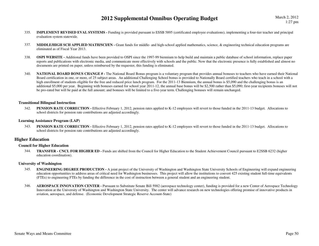- 335.**IMPLEMENT REVISED EVAL SYSTEMS** - Funding is provided pursuant to ESSB 5895 (certificated employee evaluations), implementing a four-tier teacher and principal evaluation system statewide.
- 337.**MIDDLE/HIGH SCH APPLIED MATH/SCI/EN** - Grant funds for middle- and high-school applied mathematics, science, & engineering technical education programs are eliminated as of Fiscal Year 2013.
- 338.**OSPI WEBSITE** - Additional funds have been provided to OSPI since the 1997-99 biennium to help build and maintain a public database of school information, replace paper reports and publications with electronic media, and communicate more effectively with schools and the public. Now that the electronic presence is fully established and almost no documents are printed on paper, unless reimbursed by the requester, this funding is eliminated.
- 340.**NATIONAL BOARD BONUS CHANGE # -** The National Board Bonus program is a voluntary program that provides annual bonuses to teachers who have earned their National Board certification in one, or more, of 25 subject areas. An additional Challenging School bonus is provided to Nationally Board certified teachers who teach in a school with a high enrollment of students eligible for the free and reduced price lunch program. For the 2011-13 Biennium, the annual bonus is \$5,090 and the challenging bonus is an additional \$5,000 per year. Beginning with bonuses earned for school year 2011-12, the annual base bonus will be \$2,500 rather than \$5,090; first-year recipients bonuses will not be pro-rated but will be paid at the full amount; and bonuses will be limited to a five-year term. Challenging bonuses will remain unchanged.

#### **Transitional Bilingual Instruction**

PENSION RATE CORRECTION - Effective February 1, 2012, pension rates applied to K-12 employees will revert to those funded in the 2011-13 budget. Allocations to 342.school districts for pension rate contributions are adjusted accordingly.

#### **Learning Assistance Program (LAP)**

343.**PENSION RATE CORRECTION -** Effective February 1, 2012, pension rates applied to K-12 employees will revert to those funded in the 2011-13 budget. Allocations to school districts for pension rate contributions are adjusted accordingly.

#### **Higher Education**

#### **Council for Higher Education**

344. **TRANSFER - CNCL FOR HIGHER ED -** Funds are shifted from the Council for Higher Education to the Student Achievement Council pursuant to E2SSB 6232 (higher education coordination).

#### **University of Washington**

- 345. **ENGINEERING DEGREE PRODUCTION -** A joint project of the University of Washington and Washington State University Schools of Engineering will expand engineering education opportunities to address areas of critical need for Washington businesses. This project will allow the institutions to convert 425 existing student full-time equivalents (FTEs) to engineering FTEs by funding the difference in the cost of instruction between a general student and an engineering student.
- 346.**AEROSPACE INNOVATION CENTER -** Pursuant to Substitute Senate Bill 5982 (aerospace technology center), funding is provided for a new Center of Aerospace Technology Innovation at the University of Washington and Washington State University. The center will advance research on new technologies offering promise of innovative products in aviation, aerospace, and defense. (Economic Development Strategic Reserve Account-State)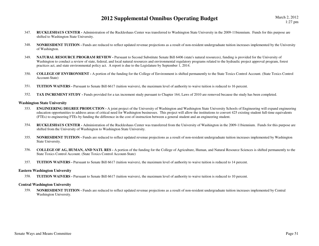- 347. **RUCKLESHAUS CENTER -** Administration of the Ruckleshaus Center was transferred to Washington State University in the 2009-11biennium. Funds for this purpose are shifted to Washington State University.
- 348.**NONRESIDENT TUITION** - Funds are reduced to reflect updated revenue projections as a result of non-resident undergraduate tuition increases implemented by the University of Washington.
- 349. **NATURAL RESOURCE PROGRAM REVIEW -** Pursuant to Second Substitute Senate Bill 6406 (state's natural resources), funding is provided for the University of Washington to conduct a review of state, federal, and local natural resources and environmental regulatory programs related to the hydraulic project approval program, forest practices act, and state environmental policy act. A report is due to the Legislature by September 1, 2014.
- 350. **COLLEGE OF ENVIRONMENT -** A portion of the funding for the College of Environment is shifted permanently to the State Toxics Control Account. (State Toxics Control Account-State)
- 351.**TUITION WAIVERS -** Pursuant to Senate Bill 6617 (tuition waivers), the maximum level of authority to waive tuition is reduced to 16 percent.
- 352.**TAX INCREMENT STUDY** - Funds provided for a tax increment study pursuant to Chapter 164, Laws of 2010 are removed because the study has been completed.

#### **Washington State University**

- **ENGINEERING DEGREE PRODUCTION** A joint project of the University of Washington and Washington State University Schools of Engineering will expand engineering 353.education opportunities to address areas of critical need for Washington businesses. This project will allow the institutions to convert 425 existing student full-time equivalents (FTEs) to engineering FTEs by funding the difference in the cost of instruction between a general student and an engineering student.
- 354. **RUCKLESHAUS CENTER -** Administration of the Ruckleshaus Center was transferred from the University of Washington in the 2009-11biennium. Funds for this purpose are shifted from the University of Washington to Washington State University.
- 355.**NONRESIDENT TUITION** - Funds are reduced to reflect updated revenue projections as a result of non-resident undergraduate tuition increases implemented by Washington State University.
- 356. **COLLEGE OF AG, HUMAN, AND NATL RES -** A portion of the funding for the College of Agriculture, Human, and Natural Resource Sciences is shifted permanently to the State Toxics Control Account. (State Toxics Control Account-State)
- 357.**TUITION WAIVERS -** Pursuant to Senate Bill 6617 (tuition waivers), the maximum level of authority to waive tuition is reduced to 14 percent.

#### **Eastern Washington University**

358.**TUITION WAIVERS -** Pursuant to Senate Bill 6617 (tuition waivers), the maximum level of authority to waive tuition is reduced to 10 percent.

#### **Central Washington University**

359.**NONRESIDENT TUITION -** Funds are reduced to reflect updated revenue projections as a result of non-resident undergraduate tuition increases implemented by Central Washington University.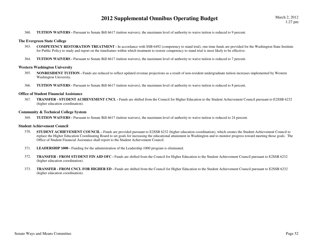360.**TUITION WAIVERS -** Pursuant to Senate Bill 6617 (tuition waivers), the maximum level of authority to waive tuition is reduced to 9 percent.

#### **The Evergreen State College**

- 363. **COMPETENCY RESTORATION TREATMENT -** In accordance with SSB 6492 (competency to stand trial), one-time funds are provided for the Washington State Institute for Public Policy to study and report on the timeframes within which treatment to restore competency to stand trial is most likely to be effective.
- 364.**TUITION WAIVERS -** Pursuant to Senate Bill 6617 (tuition waivers), the maximum level of authority to waive tuition is reduced to 7 percent.

#### **Western Washington University**

- 365.**NONRESIDENT TUITION** - Funds are reduced to reflect updated revenue projections as a result of non-resident undergraduate tuition increases implemented by Western Washington University.
- 366.**TUITION WAIVERS -** Pursuant to Senate Bill 6617 (tuition waivers), the maximum level of authority to waive tuition is reduced to 8 percent.

#### **Office of Student Financial Assistance**

367. **TRANSFER - STUDENT ACHIEVEMENT CNCL -** Funds are shifted from the Council for Higher Education to the Student Achievement Council pursuant to E2SSB 6232 (higher education coordination).

#### **Community & Technical College System**

 **TUITION WAIVERS -** Pursuant to Senate Bill 6617 (tuition waivers), the maximum level of authority to waive tuition is reduced to 24 percent.369.

#### **Student Achievement Council**

- 370.**STUDENT ACHIEVEMENT COUNCIL -** Funds are provided pursuant to E2SSB 6232 (higher education coordination), which creates the Student Achievement Council to replace the Higher Education Coordinating Board to set goals for increasing the educational attainment in Washington and to monitor progress toward meeting those goals. The Office of Student Financial Assistance shall report to the Student Achievement Council.
- 371.**LEADERSHIP 1000 -** Funding for the administration of the Leadership 1000 program is eliminated.
- 372. **TRANSFER - FROM STUDENT FIN AID OFC -** Funds are shifted from the Council for Higher Education to the Student Achievement Council pursuant to E2SSB 6232 (higher education coordination).
- 373. **TRANSFER - FROM CNCL FOR HIGHER ED -** Funds are shifted from the Council for Higher Education to the Student Achievement Council pursuant to E2SSB 6232 (higher education coordination).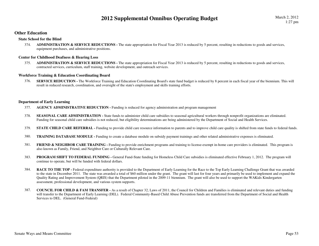#### **Other Education**

#### **State School for the Blind**

ADMINISTRATION & SERVICE REDUCTIONS - The state appropriation for Fiscal Year 2013 is reduced by 5 percent, resulting in reductions to goods and services, 374.equipment purchases, and administrative positions.

#### **Center for Childhood Deafness & Hearing Loss**

375.ADMINISTRATION & SERVICE REDUCTIONS - The state appropriation for Fiscal Year 2013 is reduced by 5 percent, resulting in reductions to goods and services, contracted services, curriculum, staff training, website development, and outreach services.

#### **Workforce Training & Education Coordinating Board**

SERVICE REDUCTION - The Workforce Training and Education Coordinating Board's state fund budget is reduced by 8 percent in each fiscal year of the biennium. This will 376.result in reduced research, coordination, and oversight of the state's employment and skills training efforts.

#### **Department of Early Learning**

- 377.**AGENCY ADMINISTRATIVE REDUCTION -** Funding is reduced for agency administration and program management
- 378.**SEASONAL CARE ADMINISTRATION -** State funds to administer child care subsidies to seasonal agricultural workers through nonprofit organizations are eliminated. Funding for seasonal child care subsidies is not reduced, but eligibility determinations are being administered by the Department of Social and Health Services.
- 379.**STATE CHILD CARE REFERRAL -** Funding to provide child care resource information to parents and to improve child care quality is shifted from state funds to federal funds.
- 380.**TRAINING DATABASE MODULE -** Funding to create a database module on subsidy payment trainings and other related administrative expenses is eliminated.
- 381.**FRIEND & NEIGHBOR CARE TRAINING -** Funding to provide enrichment programs and training to license-exempt in-home care providers is eliminated. This program is also known as Family, Friend, and Neighbor Care or Culturally Relevant Care.
- 383.**PROGRAM SHIFT TO FEDERAL FUNDING -** General Fund-State funding for Homeless Child Care subsidies is eliminated effective February 1, 2012. The program will continue to operate, but will be funded with federal dollars.
- 384.**RACE TO THE TOP -** Federal expenditure authority is provided to the Department of Early Learning for the Race to the Top Early Learning Challenge Grant that was awarded to the state in December 2011. The state was awarded a total of \$60 million under the grant. The grant will last for four years and primarily be used to implement and expand the Quality Rating and Improvement System (QRIS) that the Department piloted in the 2009-11 biennium. The grant will also be used to support the WAKids Kindergarten assessment, professional development, and various system supports.
- 387. **COUNCIL FOR CHILD & FAM TRANSFER -** As a result of Chapter 32, Laws of 2011, the Council for Children and Families is eliminated and relevant duties and funding will transfer to the Department of Early Learning (DEL). Federal Community-Based Child Abuse Prevention funds are transferred from the Department of Social and Health Services to DEL. (General Fund-Federal)